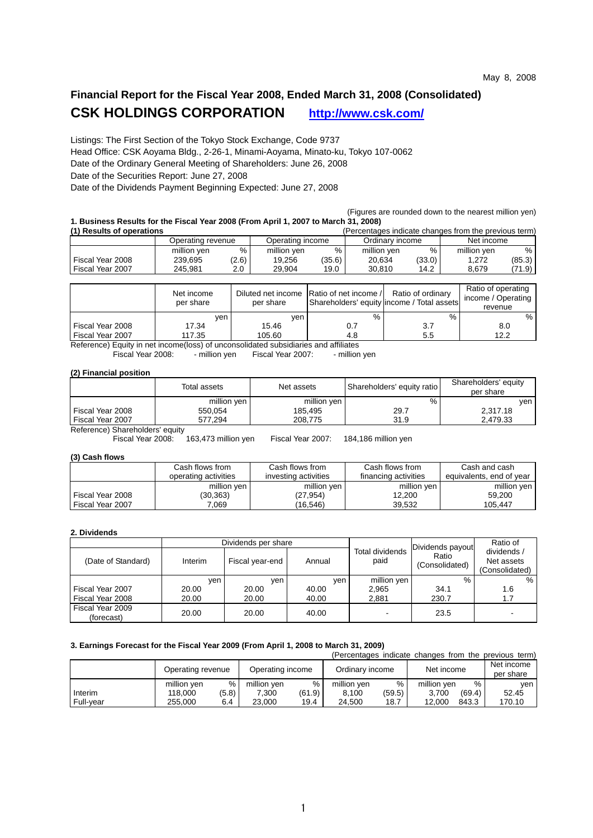## **Financial Report for the Fiscal Year 2008, Ended March 31, 2008 (Consolidated) CSK HOLDINGS CORPORATION http://www.csk.com/**

Listings: The First Section of the Tokyo Stock Exchange, Code 9737 Head Office: CSK Aoyama Bldg., 2-26-1, Minami-Aoyama, Minato-ku, Tokyo 107-0062 Date of the Ordinary General Meeting of Shareholders: June 26, 2008 Date of the Securities Report: June 27, 2008

Date of the Dividends Payment Beginning Expected: June 27, 2008

 (Figures are rounded down to the nearest million yen) **1. Business Results for the Fiscal Year 2008 (From April 1, 2007 to March 31, 2008)** 

| (1) Results of operations |                   |       |                  |        | (Percentages indicate changes from the previous term) |        |             |        |
|---------------------------|-------------------|-------|------------------|--------|-------------------------------------------------------|--------|-------------|--------|
|                           | Operating revenue |       | Operating income |        | Ordinary income                                       |        | Net income  |        |
|                           | million yen       | %     | million yen      | %      | million yen                                           | %      | million yen | %      |
| Fiscal Year 2008          | 239.695           | (2.6) | 19,256           | (35.6) | 20.634                                                | (33.0) | 1.272       | (85.3) |
| Fiscal Year 2007          | 245.981           | 2.0   | 29.904           | 19.0   | 30.810                                                | 14.2   | 8.679       | (71.9) |
|                           |                   |       |                  |        |                                                       |        |             |        |

|                  | Net income<br>per share | per share | Diluted net income Ratio of net income /<br>Shareholders' equity lincome / Total assets | Ratio of ordinary | Ratio of operating<br>income / Operating<br>revenue |
|------------------|-------------------------|-----------|-----------------------------------------------------------------------------------------|-------------------|-----------------------------------------------------|
|                  | yen.                    | ven       | %                                                                                       | %                 | %                                                   |
| Fiscal Year 2008 | 17.34                   | 15.46     | 0.7                                                                                     | 3.7               | 8.0                                                 |
| Fiscal Year 2007 | 117.35                  | 105.60    | 4.8                                                                                     | 5.5               | 12.2                                                |

Reference) Equity in net income(loss) of unconsolidated subsidiaries and affiliates<br>Fiscal Year 2008: - million yen Fiscal Year 2007: - million yen

- million yen Fiscal Year 2007:

### **(2) Financial position**

|                                 | Total assets | Net assets  | Shareholders' equity ratio | Shareholders' equity<br>per share |
|---------------------------------|--------------|-------------|----------------------------|-----------------------------------|
|                                 | million yen  | million yen | %                          | ven                               |
| Fiscal Year 2008                | 550.054      | 185.495     | 29.7                       | 2.317.18                          |
| Fiscal Year 2007                | 577.294      | 208.775     | 31.9                       | 2.479.33                          |
| Doforonoo) Charoboldoro' oquitu |              |             |                            |                                   |

Reference) Shareholders' equity

Fiscal Year 2008: 163,473 million yen Fiscal Year 2007: 184,186 million yen

### **(3) Cash flows**

|                  | Cash flows from      | Cash flows from      | Cash flows from      | Cash and cash            |
|------------------|----------------------|----------------------|----------------------|--------------------------|
|                  | operating activities | investing activities | financing activities | equivalents, end of year |
|                  | million yen          | million yen          | million yen          | million yen              |
| Fiscal Year 2008 | (30,363)             | (27,954)             | 12.200               | 59.200                   |
| Fiscal Year 2007 | .069                 | (16.546)             | 39.532               | 105.447                  |

### **2. Dividends**

|                                |         | Dividends per share |        |                         | Dividends payout        | Ratio of |
|--------------------------------|---------|---------------------|--------|-------------------------|-------------------------|----------|
| (Date of Standard)             | Interim | Fiscal year-end     | Annual | Total dividends<br>paid | Ratio<br>(Consolidated) |          |
|                                | ven     | ven.                | ven    | million yen             | %                       | $\%$     |
| Fiscal Year 2007               | 20.00   | 20.00               | 40.00  | 2.965                   | 34.1                    | 1.6      |
| Fiscal Year 2008               | 20.00   | 20.00               | 40.00  | 2.881                   | 230.7                   | 1.7      |
| Fiscal Year 2009<br>(forecast) | 20.00   | 20.00               | 40.00  |                         | 23.5                    |          |

## **3. Earnings Forecast for the Fiscal Year 2009 (From April 1, 2008 to March 31, 2009)**

|           |                   |       |                  |        |                 |        |             |        | (Percentages indicate changes from the previous term) |
|-----------|-------------------|-------|------------------|--------|-----------------|--------|-------------|--------|-------------------------------------------------------|
|           | Operating revenue |       | Operating income |        | Ordinary income |        | Net income  |        | Net income                                            |
|           |                   |       |                  |        |                 |        |             |        | per share                                             |
|           | million yen       | %     | million yen      | %      | million yen     | $\%$   | million yen | $\%$   | ven                                                   |
| Interim   | 118.000           | (5.8) | 7,300            | (61.9) | 8,100           | (59.5) | 3.700       | (69.4) | 52.45                                                 |
| Full-vear | 255.000           | 6.4   | 23,000           | 19.4   | 24.500          | 18.7   | 12.000      | 843.3  | 170.10                                                |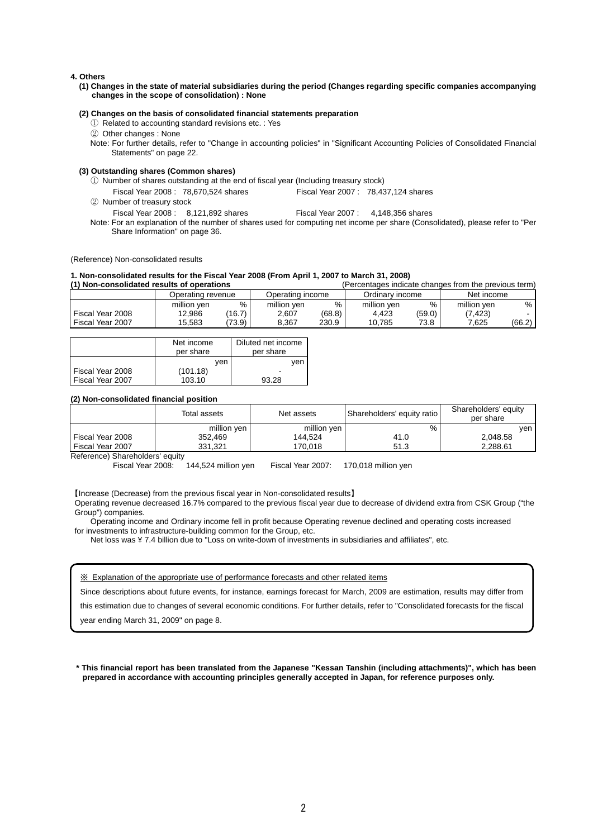### **4. Others**

**(1) Changes in the state of material subsidiaries during the period (Changes regarding specific companies accompanying changes in the scope of consolidation) : None** 

#### **(2) Changes on the basis of consolidated financial statements preparation**

- ① Related to accounting standard revisions etc. : Yes
- ② Other changes : None
- Note: For further details, refer to "Change in accounting policies" in "Significant Accounting Policies of Consolidated Financial Statements" on page 22.

### **(3) Outstanding shares (Common shares)**

- ① Number of shares outstanding at the end of fiscal year (Including treasury stock)
- Fiscal Year 2008 : 78,670,524 shares Fiscal Year 2007 : 78,437,124 shares
- ② Number of treasury stock
- Fiscal Year 2008 : 8,121,892 shares Fiscal Year 2007 : 4,148,356 shares
- Note: For an explanation of the number of shares used for computing net income per share (Consolidated), please refer to "Per Share Information" on page 36.

(Reference) Non-consolidated results

# **1. Non-consolidated results for the Fiscal Year 2008 (From April 1, 2007 to March 31, 2008)**

(Percentages indicate changes from the previous term)

|                  | Operating revenue |        | Operating income |        | Ordinarv income |        | Net income  |        |
|------------------|-------------------|--------|------------------|--------|-----------------|--------|-------------|--------|
|                  | million ven       | %      | million yen      | $\%$   | million ven     | %      | million ven | %      |
| Fiscal Year 2008 | 12,986            | (16.7) | 2,607            | (68.8) | 4.423           | (59.0) | (7, 423)    |        |
| Fiscal Year 2007 | 15.583            | (73.9) | 8.367            | 230.9  | 10.785          | 73.8   | 7.625       | (66.2) |

|                  | Net income<br>per share | Diluted net income<br>per share |  |
|------------------|-------------------------|---------------------------------|--|
|                  | ven                     | ven                             |  |
| Fiscal Year 2008 | (101.18)                |                                 |  |
| Fiscal Year 2007 | 103.10                  | 93.28                           |  |

### **(2) Non-consolidated financial position**

|                  | Total assets | Net assets  | Shareholders' equity ratio | Shareholders' equity<br>per share |
|------------------|--------------|-------------|----------------------------|-----------------------------------|
|                  | million yen  | million yen | %                          | ven                               |
| Fiscal Year 2008 | 352.469      | 144.524     | 41.0                       | 2,048.58                          |
| Fiscal Year 2007 | 331.321      | 170.018     | 51.3                       | 2.288.61                          |

Reference) Shareholders' equity

Fiscal Year 2008: 144,524 million yen Fiscal Year 2007: 170,018 million yen

【Increase (Decrease) from the previous fiscal year in Non-consolidated results】

Operating revenue decreased 16.7% compared to the previous fiscal year due to decrease of dividend extra from CSK Group ("the Group") companies.

Operating income and Ordinary income fell in profit because Operating revenue declined and operating costs increased for investments to infrastructure-building common for the Group, etc.

Net loss was ¥ 7.4 billion due to "Loss on write-down of investments in subsidiaries and affiliates", etc.

#### ※ Explanation of the appropriate use of performance forecasts and other related items

Since descriptions about future events, for instance, earnings forecast for March, 2009 are estimation, results may differ from

this estimation due to changes of several economic conditions. For further details, refer to "Consolidated forecasts for the fiscal

year ending March 31, 2009" on page 8.

**\* This financial report has been translated from the Japanese "Kessan Tanshin (including attachments)", which has been prepared in accordance with accounting principles generally accepted in Japan, for reference purposes only.**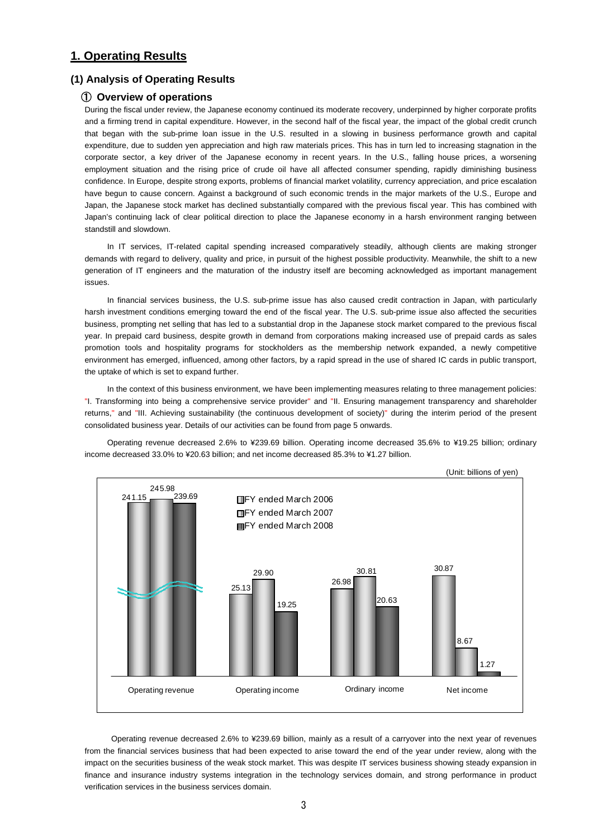## **1. Operating Results**

### **(1) Analysis of Operating Results**

### ① **Overview of operations**

During the fiscal under review, the Japanese economy continued its moderate recovery, underpinned by higher corporate profits and a firming trend in capital expenditure. However, in the second half of the fiscal year, the impact of the global credit crunch that began with the sub-prime loan issue in the U.S. resulted in a slowing in business performance growth and capital expenditure, due to sudden yen appreciation and high raw materials prices. This has in turn led to increasing stagnation in the corporate sector, a key driver of the Japanese economy in recent years. In the U.S., falling house prices, a worsening employment situation and the rising price of crude oil have all affected consumer spending, rapidly diminishing business confidence. In Europe, despite strong exports, problems of financial market volatility, currency appreciation, and price escalation have begun to cause concern. Against a background of such economic trends in the major markets of the U.S., Europe and Japan, the Japanese stock market has declined substantially compared with the previous fiscal year. This has combined with Japan's continuing lack of clear political direction to place the Japanese economy in a harsh environment ranging between standstill and slowdown.

In IT services, IT-related capital spending increased comparatively steadily, although clients are making stronger demands with regard to delivery, quality and price, in pursuit of the highest possible productivity. Meanwhile, the shift to a new generation of IT engineers and the maturation of the industry itself are becoming acknowledged as important management issues.

In financial services business, the U.S. sub-prime issue has also caused credit contraction in Japan, with particularly harsh investment conditions emerging toward the end of the fiscal year. The U.S. sub-prime issue also affected the securities business, prompting net selling that has led to a substantial drop in the Japanese stock market compared to the previous fiscal year. In prepaid card business, despite growth in demand from corporations making increased use of prepaid cards as sales promotion tools and hospitality programs for stockholders as the membership network expanded, a newly competitive environment has emerged, influenced, among other factors, by a rapid spread in the use of shared IC cards in public transport, the uptake of which is set to expand further.

In the context of this business environment, we have been implementing measures relating to three management policies: "I. Transforming into being a comprehensive service provider" and "II. Ensuring management transparency and shareholder returns," and "III. Achieving sustainability (the continuous development of society)" during the interim period of the present consolidated business year. Details of our activities can be found from page 5 onwards.

Operating revenue decreased 2.6% to ¥239.69 billion. Operating income decreased 35.6% to ¥19.25 billion; ordinary income decreased 33.0% to ¥20.63 billion; and net income decreased 85.3% to ¥1.27 billion.



 Operating revenue decreased 2.6% to ¥239.69 billion, mainly as a result of a carryover into the next year of revenues from the financial services business that had been expected to arise toward the end of the year under review, along with the impact on the securities business of the weak stock market. This was despite IT services business showing steady expansion in finance and insurance industry systems integration in the technology services domain, and strong performance in product verification services in the business services domain.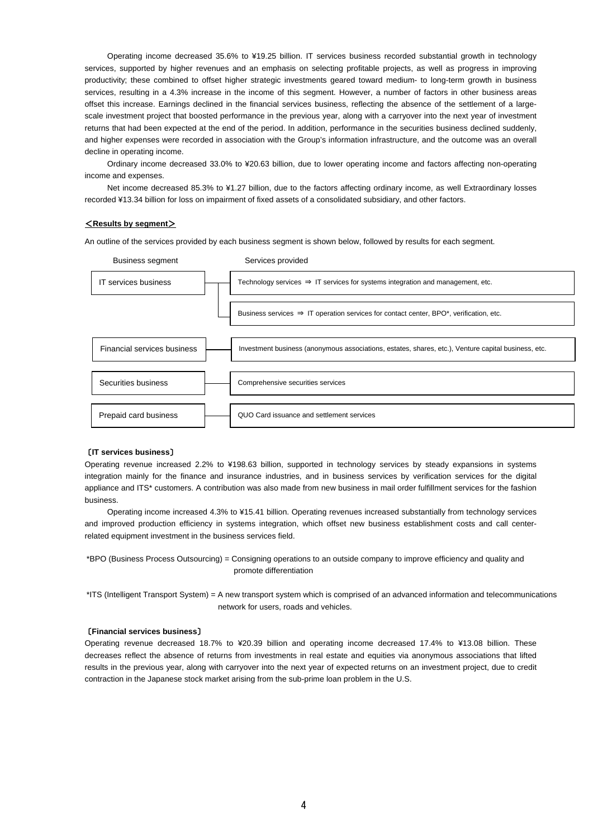Operating income decreased 35.6% to ¥19.25 billion. IT services business recorded substantial growth in technology services, supported by higher revenues and an emphasis on selecting profitable projects, as well as progress in improving productivity; these combined to offset higher strategic investments geared toward medium- to long-term growth in business services, resulting in a 4.3% increase in the income of this segment. However, a number of factors in other business areas offset this increase. Earnings declined in the financial services business, reflecting the absence of the settlement of a largescale investment project that boosted performance in the previous year, along with a carryover into the next year of investment returns that had been expected at the end of the period. In addition, performance in the securities business declined suddenly, and higher expenses were recorded in association with the Group's information infrastructure, and the outcome was an overall decline in operating income.

Ordinary income decreased 33.0% to ¥20.63 billion, due to lower operating income and factors affecting non-operating income and expenses.

Net income decreased 85.3% to ¥1.27 billion, due to the factors affecting ordinary income, as well Extraordinary losses recorded ¥13.34 billion for loss on impairment of fixed assets of a consolidated subsidiary, and other factors.

### <**Results by segment**>

An outline of the services provided by each business segment is shown below, followed by results for each segment.



### 〔**IT services business**〕

Operating revenue increased 2.2% to ¥198.63 billion, supported in technology services by steady expansions in systems integration mainly for the finance and insurance industries, and in business services by verification services for the digital appliance and ITS\* customers. A contribution was also made from new business in mail order fulfillment services for the fashion business.

Operating income increased 4.3% to ¥15.41 billion. Operating revenues increased substantially from technology services and improved production efficiency in systems integration, which offset new business establishment costs and call centerrelated equipment investment in the business services field.

\*BPO (Business Process Outsourcing) = Consigning operations to an outside company to improve efficiency and quality and promote differentiation

\*ITS (Intelligent Transport System) = A new transport system which is comprised of an advanced information and telecommunications network for users, roads and vehicles.

#### 〔**Financial services business**〕

Operating revenue decreased 18.7% to ¥20.39 billion and operating income decreased 17.4% to ¥13.08 billion. These decreases reflect the absence of returns from investments in real estate and equities via anonymous associations that lifted results in the previous year, along with carryover into the next year of expected returns on an investment project, due to credit contraction in the Japanese stock market arising from the sub-prime loan problem in the U.S.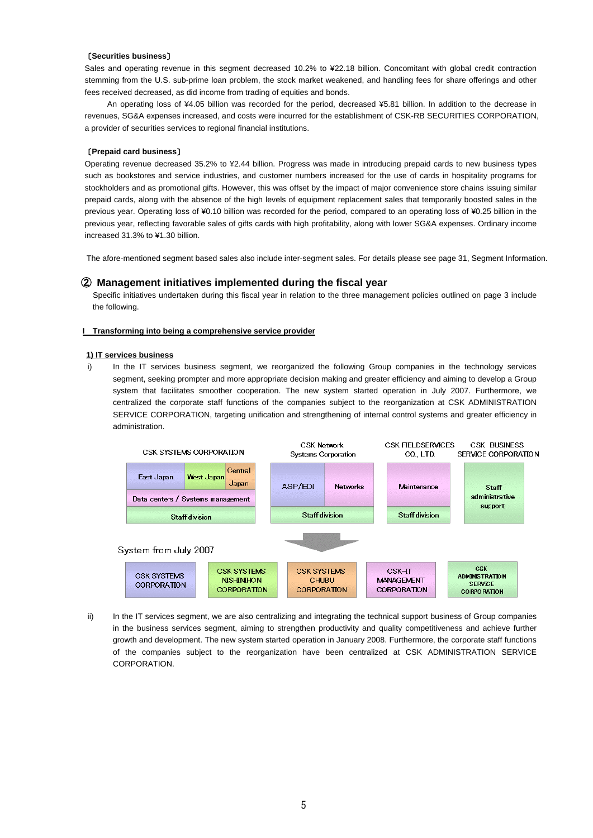### 〔**Securities business**〕

Sales and operating revenue in this segment decreased 10.2% to ¥22.18 billion. Concomitant with global credit contraction stemming from the U.S. sub-prime loan problem, the stock market weakened, and handling fees for share offerings and other fees received decreased, as did income from trading of equities and bonds.

An operating loss of ¥4.05 billion was recorded for the period, decreased ¥5.81 billion. In addition to the decrease in revenues, SG&A expenses increased, and costs were incurred for the establishment of CSK-RB SECURITIES CORPORATION, a provider of securities services to regional financial institutions.

### 〔**Prepaid card business**〕

Operating revenue decreased 35.2% to ¥2.44 billion. Progress was made in introducing prepaid cards to new business types such as bookstores and service industries, and customer numbers increased for the use of cards in hospitality programs for stockholders and as promotional gifts. However, this was offset by the impact of major convenience store chains issuing similar prepaid cards, along with the absence of the high levels of equipment replacement sales that temporarily boosted sales in the previous year. Operating loss of ¥0.10 billion was recorded for the period, compared to an operating loss of ¥0.25 billion in the previous year, reflecting favorable sales of gifts cards with high profitability, along with lower SG&A expenses. Ordinary income increased 31.3% to ¥1.30 billion.

The afore-mentioned segment based sales also include inter-segment sales. For details please see page 31, Segment Information.

### ② **Management initiatives implemented during the fiscal year**

 Specific initiatives undertaken during this fiscal year in relation to the three management policies outlined on page 3 include the following.

### **I Transforming into being a comprehensive service provider**

### **1) IT services business**

i) In the IT services business segment, we reorganized the following Group companies in the technology services segment, seeking prompter and more appropriate decision making and greater efficiency and aiming to develop a Group system that facilitates smoother cooperation. The new system started operation in July 2007. Furthermore, we centralized the corporate staff functions of the companies subject to the reorganization at CSK ADMINISTRATION SERVICE CORPORATION, targeting unification and strengthening of internal control systems and greater efficiency in administration.



ii) In the IT services segment, we are also centralizing and integrating the technical support business of Group companies in the business services segment, aiming to strengthen productivity and quality competitiveness and achieve further growth and development. The new system started operation in January 2008. Furthermore, the corporate staff functions of the companies subject to the reorganization have been centralized at CSK ADMINISTRATION SERVICE CORPORATION.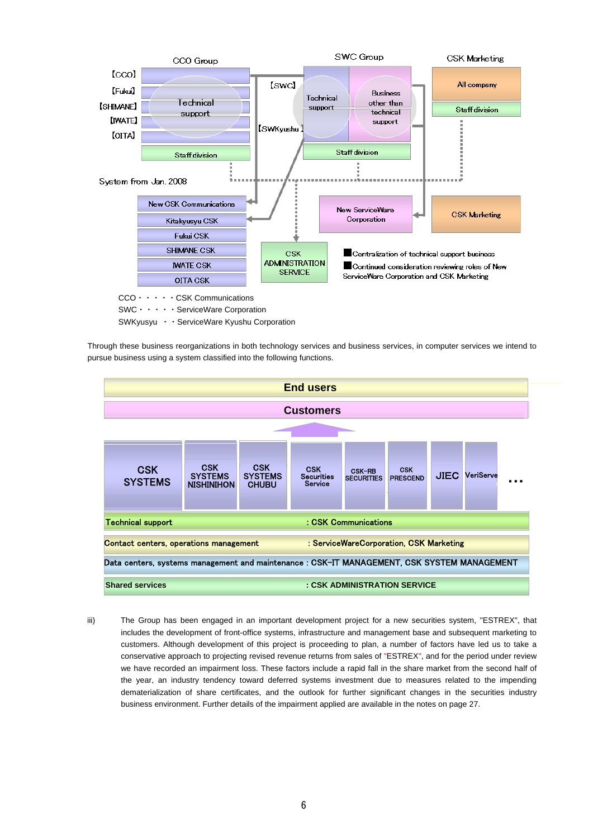

Through these business reorganizations in both technology services and business services, in computer services we intend to pursue business using a system classified into the following functions.



iii) The Group has been engaged in an important development project for a new securities system, "ESTREX", that includes the development of front-office systems, infrastructure and management base and subsequent marketing to customers. Although development of this project is proceeding to plan, a number of factors have led us to take a conservative approach to projecting revised revenue returns from sales of "ESTREX", and for the period under review we have recorded an impairment loss. These factors include a rapid fall in the share market from the second half of the year, an industry tendency toward deferred systems investment due to measures related to the impending dematerialization of share certificates, and the outlook for further significant changes in the securities industry business environment. Further details of the impairment applied are available in the notes on page 27.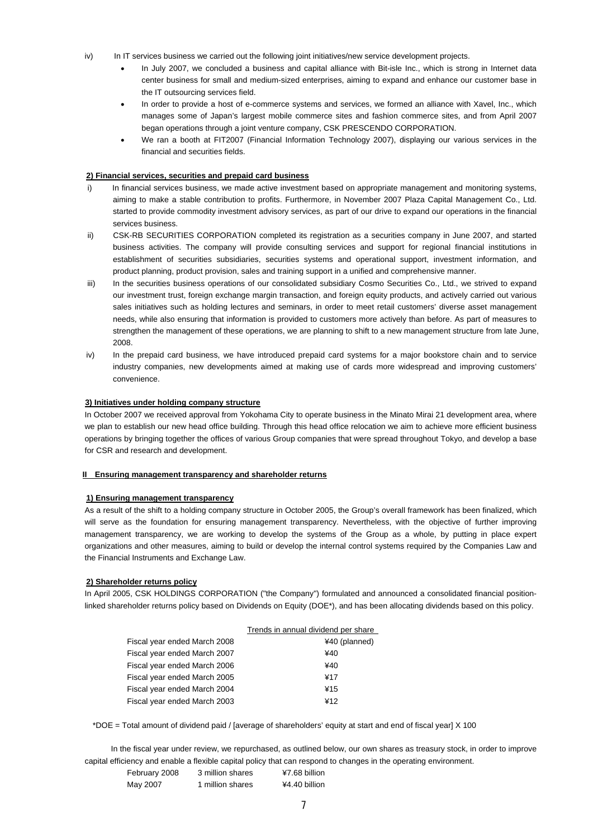- iv) In IT services business we carried out the following joint initiatives/new service development projects.
	- In July 2007, we concluded a business and capital alliance with Bit-isle Inc., which is strong in Internet data center business for small and medium-sized enterprises, aiming to expand and enhance our customer base in the IT outsourcing services field.
	- In order to provide a host of e-commerce systems and services, we formed an alliance with Xavel, Inc., which manages some of Japan's largest mobile commerce sites and fashion commerce sites, and from April 2007 began operations through a joint venture company, CSK PRESCENDO CORPORATION.
	- We ran a booth at FIT2007 (Financial Information Technology 2007), displaying our various services in the financial and securities fields.

### **2) Financial services, securities and prepaid card business**

- i) In financial services business, we made active investment based on appropriate management and monitoring systems, aiming to make a stable contribution to profits. Furthermore, in November 2007 Plaza Capital Management Co., Ltd. started to provide commodity investment advisory services, as part of our drive to expand our operations in the financial services business.
- ii) CSK-RB SECURITIES CORPORATION completed its registration as a securities company in June 2007, and started business activities. The company will provide consulting services and support for regional financial institutions in establishment of securities subsidiaries, securities systems and operational support, investment information, and product planning, product provision, sales and training support in a unified and comprehensive manner.
- iii) In the securities business operations of our consolidated subsidiary Cosmo Securities Co., Ltd., we strived to expand our investment trust, foreign exchange margin transaction, and foreign equity products, and actively carried out various sales initiatives such as holding lectures and seminars, in order to meet retail customers' diverse asset management needs, while also ensuring that information is provided to customers more actively than before. As part of measures to strengthen the management of these operations, we are planning to shift to a new management structure from late June, 2008.
- iv) In the prepaid card business, we have introduced prepaid card systems for a major bookstore chain and to service industry companies, new developments aimed at making use of cards more widespread and improving customers' convenience.

### **3) Initiatives under holding company structure**

In October 2007 we received approval from Yokohama City to operate business in the Minato Mirai 21 development area, where we plan to establish our new head office building. Through this head office relocation we aim to achieve more efficient business operations by bringing together the offices of various Group companies that were spread throughout Tokyo, and develop a base for CSR and research and development.

### **II Ensuring management transparency and shareholder returns**

### **1) Ensuring management transparency**

As a result of the shift to a holding company structure in October 2005, the Group's overall framework has been finalized, which will serve as the foundation for ensuring management transparency. Nevertheless, with the objective of further improving management transparency, we are working to develop the systems of the Group as a whole, by putting in place expert organizations and other measures, aiming to build or develop the internal control systems required by the Companies Law and the Financial Instruments and Exchange Law.

### **2) Shareholder returns policy**

In April 2005, CSK HOLDINGS CORPORATION ("the Company") formulated and announced a consolidated financial positionlinked shareholder returns policy based on Dividends on Equity (DOE\*), and has been allocating dividends based on this policy.

| Trends in annual dividend per share |
|-------------------------------------|
| ¥40 (planned)                       |
| ¥40                                 |
| ¥40                                 |
| ¥17                                 |
| ¥15                                 |
| ¥12                                 |
|                                     |

\*DOE = Total amount of dividend paid / [average of shareholders' equity at start and end of fiscal year] X 100

 In the fiscal year under review, we repurchased, as outlined below, our own shares as treasury stock, in order to improve capital efficiency and enable a flexible capital policy that can respond to changes in the operating environment.

| $\frac{1}{2}$ |                  |               |
|---------------|------------------|---------------|
| February 2008 | 3 million shares | ¥7.68 billion |
| May 2007      | 1 million shares | ¥4.40 billion |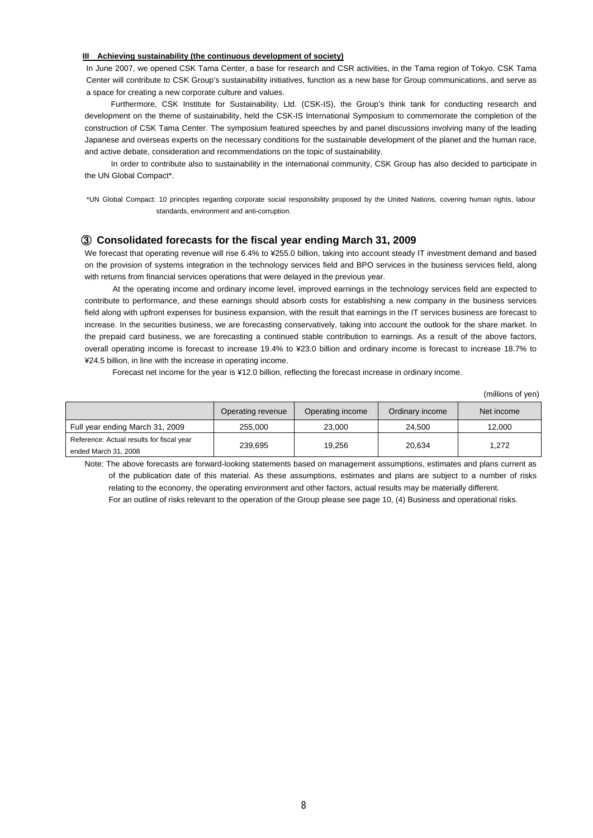### **III Achieving sustainability (the continuous development of society)**

In June 2007, we opened CSK Tama Center, a base for research and CSR activities, in the Tama region of Tokyo. CSK Tama Center will contribute to CSK Group's sustainability initiatives, function as a new base for Group communications, and serve as a space for creating a new corporate culture and values.

 Furthermore, CSK Institute for Sustainability, Ltd. (CSK-IS), the Group's think tank for conducting research and development on the theme of sustainability, held the CSK-IS International Symposium to commemorate the completion of the construction of CSK Tama Center. The symposium featured speeches by and panel discussions involving many of the leading Japanese and overseas experts on the necessary conditions for the sustainable development of the planet and the human race, and active debate, consideration and recommendations on the topic of sustainability.

 In order to contribute also to sustainability in the international community, CSK Group has also decided to participate in the UN Global Compact\*.

\*UN Global Compact: 10 principles regarding corporate social responsibility proposed by the United Nations, covering human rights, labour standards, environment and anti-corruption.

### ③ **Consolidated forecasts for the fiscal year ending March 31, 2009**

We forecast that operating revenue will rise 6.4% to ¥255.0 billion, taking into account steady IT investment demand and based on the provision of systems integration in the technology services field and BPO services in the business services field, along with returns from financial services operations that were delayed in the previous year.

 At the operating income and ordinary income level, improved earnings in the technology services field are expected to contribute to performance, and these earnings should absorb costs for establishing a new company in the business services field along with upfront expenses for business expansion, with the result that earnings in the IT services business are forecast to increase. In the securities business, we are forecasting conservatively, taking into account the outlook for the share market. In the prepaid card business, we are forecasting a continued stable contribution to earnings. As a result of the above factors, overall operating income is forecast to increase 19.4% to ¥23.0 billion and ordinary income is forecast to increase 18.7% to ¥24.5 billion, in line with the increase in operating income.

Forecast net income for the year is ¥12.0 billion, reflecting the forecast increase in ordinary income.

(millions of yen)

|                                           | Operating revenue | Operating income | Ordinary income | Net income |
|-------------------------------------------|-------------------|------------------|-----------------|------------|
| Full year ending March 31, 2009           | 255,000           | 23,000           | 24.500          | 12.000     |
| Reference: Actual results for fiscal year | 239.695           | 19.256           | 20.634          | 1.272      |
| ended March 31, 2008                      |                   |                  |                 |            |

Note: The above forecasts are forward-looking statements based on management assumptions, estimates and plans current as of the publication date of this material. As these assumptions, estimates and plans are subject to a number of risks relating to the economy, the operating environment and other factors, actual results may be materially different. For an outline of risks relevant to the operation of the Group please see page 10, (4) Business and operational risks.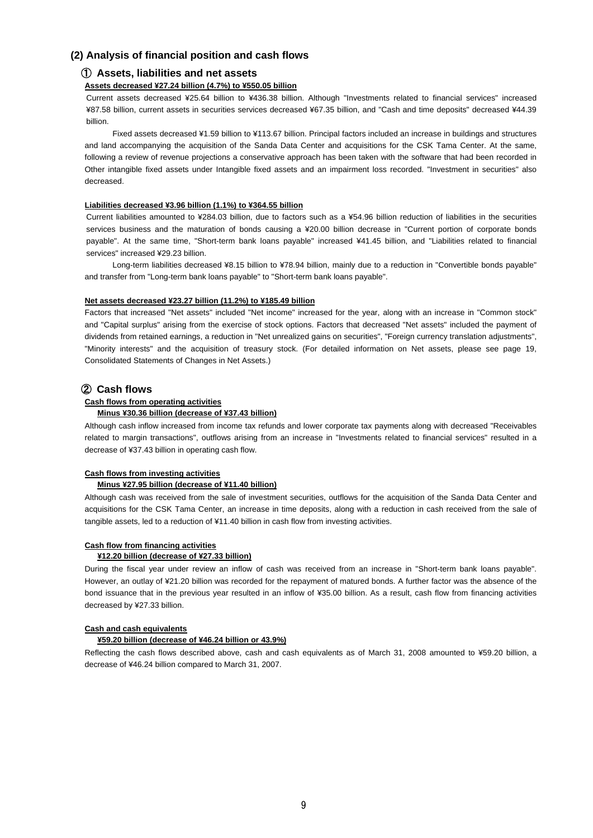### **(2) Analysis of financial position and cash flows**

### ① **Assets, liabilities and net assets**

### **Assets decreased ¥27.24 billion (4.7%) to ¥550.05 billion**

Current assets decreased ¥25.64 billion to ¥436.38 billion. Although "Investments related to financial services" increased ¥87.58 billion, current assets in securities services decreased ¥67.35 billion, and "Cash and time deposits" decreased ¥44.39 billion.

Fixed assets decreased ¥1.59 billion to ¥113.67 billion. Principal factors included an increase in buildings and structures and land accompanying the acquisition of the Sanda Data Center and acquisitions for the CSK Tama Center. At the same, following a review of revenue projections a conservative approach has been taken with the software that had been recorded in Other intangible fixed assets under Intangible fixed assets and an impairment loss recorded. "Investment in securities" also decreased.

### **Liabilities decreased ¥3.96 billion (1.1%) to ¥364.55 billion**

Current liabilities amounted to ¥284.03 billion, due to factors such as a ¥54.96 billion reduction of liabilities in the securities services business and the maturation of bonds causing a ¥20.00 billion decrease in "Current portion of corporate bonds payable". At the same time, "Short-term bank loans payable" increased ¥41.45 billion, and "Liabilities related to financial services" increased ¥29.23 billion.

Long-term liabilities decreased ¥8.15 billion to ¥78.94 billion, mainly due to a reduction in "Convertible bonds payable" and transfer from "Long-term bank loans payable" to "Short-term bank loans payable".

### **Net assets decreased ¥23.27 billion (11.2%) to ¥185.49 billion**

Factors that increased "Net assets" included "Net income" increased for the year, along with an increase in "Common stock" and "Capital surplus" arising from the exercise of stock options. Factors that decreased "Net assets" included the payment of dividends from retained earnings, a reduction in "Net unrealized gains on securities", "Foreign currency translation adjustments", "Minority interests" and the acquisition of treasury stock. (For detailed information on Net assets, please see page 19, Consolidated Statements of Changes in Net Assets.)

### ② **Cash flows**

### **Cash flows from operating activities**

### **Minus ¥30.36 billion (decrease of ¥37.43 billion)**

Although cash inflow increased from income tax refunds and lower corporate tax payments along with decreased "Receivables related to margin transactions", outflows arising from an increase in "Investments related to financial services" resulted in a decrease of ¥37.43 billion in operating cash flow.

### **Cash flows from investing activities**

### **Minus ¥27.95 billion (decrease of ¥11.40 billion)**

Although cash was received from the sale of investment securities, outflows for the acquisition of the Sanda Data Center and acquisitions for the CSK Tama Center, an increase in time deposits, along with a reduction in cash received from the sale of tangible assets, led to a reduction of ¥11.40 billion in cash flow from investing activities.

### **Cash flow from financing activities**

### **¥12.20 billion (decrease of ¥27.33 billion)**

During the fiscal year under review an inflow of cash was received from an increase in "Short-term bank loans payable". However, an outlay of ¥21.20 billion was recorded for the repayment of matured bonds. A further factor was the absence of the bond issuance that in the previous year resulted in an inflow of ¥35.00 billion. As a result, cash flow from financing activities decreased by ¥27.33 billion.

### **Cash and cash equivalents**

### **¥59.20 billion (decrease of ¥46.24 billion or 43.9%)**

Reflecting the cash flows described above, cash and cash equivalents as of March 31, 2008 amounted to ¥59.20 billion, a decrease of ¥46.24 billion compared to March 31, 2007.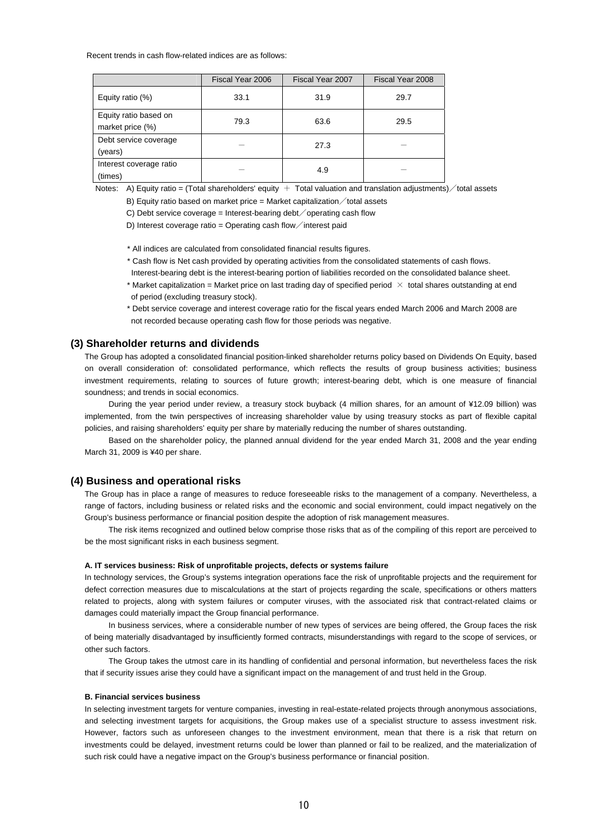Recent trends in cash flow-related indices are as follows:

|                                           | Fiscal Year 2006 | Fiscal Year 2007 | Fiscal Year 2008 |  |
|-------------------------------------------|------------------|------------------|------------------|--|
| Equity ratio (%)                          | 33.1             |                  | 29.7             |  |
| Equity ratio based on<br>market price (%) | 79.3             | 63.6             | 29.5             |  |
| Debt service coverage<br>(years)          |                  | 27.3             |                  |  |
| Interest coverage ratio<br>(times)        |                  | 4.9              |                  |  |

Notes: A) Equity ratio = (Total shareholders' equity  $+$  Total valuation and translation adjustments)  $\diagup$  total assets

B) Equity ratio based on market price = Market capitalization  $\diagup$  total assets

C) Debt service coverage = Interest-bearing debt operating cash flow

D) Interest coverage ratio = Operating cash flow interest paid

\* All indices are calculated from consolidated financial results figures.

\* Cash flow is Net cash provided by operating activities from the consolidated statements of cash flows.

Interest-bearing debt is the interest-bearing portion of liabilities recorded on the consolidated balance sheet.

- \* Market capitalization = Market price on last trading day of specified period  $\chi$  total shares outstanding at end of period (excluding treasury stock).
- \* Debt service coverage and interest coverage ratio for the fiscal years ended March 2006 and March 2008 are not recorded because operating cash flow for those periods was negative.

### **(3) Shareholder returns and dividends**

The Group has adopted a consolidated financial position-linked shareholder returns policy based on Dividends On Equity, based on overall consideration of: consolidated performance, which reflects the results of group business activities; business investment requirements, relating to sources of future growth; interest-bearing debt, which is one measure of financial soundness; and trends in social economics.

During the year period under review, a treasury stock buyback (4 million shares, for an amount of ¥12.09 billion) was implemented, from the twin perspectives of increasing shareholder value by using treasury stocks as part of flexible capital policies, and raising shareholders' equity per share by materially reducing the number of shares outstanding.

Based on the shareholder policy, the planned annual dividend for the year ended March 31, 2008 and the year ending March 31, 2009 is ¥40 per share.

### **(4) Business and operational risks**

The Group has in place a range of measures to reduce foreseeable risks to the management of a company. Nevertheless, a range of factors, including business or related risks and the economic and social environment, could impact negatively on the Group's business performance or financial position despite the adoption of risk management measures.

The risk items recognized and outlined below comprise those risks that as of the compiling of this report are perceived to be the most significant risks in each business segment.

#### **A. IT services business: Risk of unprofitable projects, defects or systems failure**

In technology services, the Group's systems integration operations face the risk of unprofitable projects and the requirement for defect correction measures due to miscalculations at the start of projects regarding the scale, specifications or others matters related to projects, along with system failures or computer viruses, with the associated risk that contract-related claims or damages could materially impact the Group financial performance.

In business services, where a considerable number of new types of services are being offered, the Group faces the risk of being materially disadvantaged by insufficiently formed contracts, misunderstandings with regard to the scope of services, or other such factors.

The Group takes the utmost care in its handling of confidential and personal information, but nevertheless faces the risk that if security issues arise they could have a significant impact on the management of and trust held in the Group.

### **B. Financial services business**

In selecting investment targets for venture companies, investing in real-estate-related projects through anonymous associations, and selecting investment targets for acquisitions, the Group makes use of a specialist structure to assess investment risk. However, factors such as unforeseen changes to the investment environment, mean that there is a risk that return on investments could be delayed, investment returns could be lower than planned or fail to be realized, and the materialization of such risk could have a negative impact on the Group's business performance or financial position.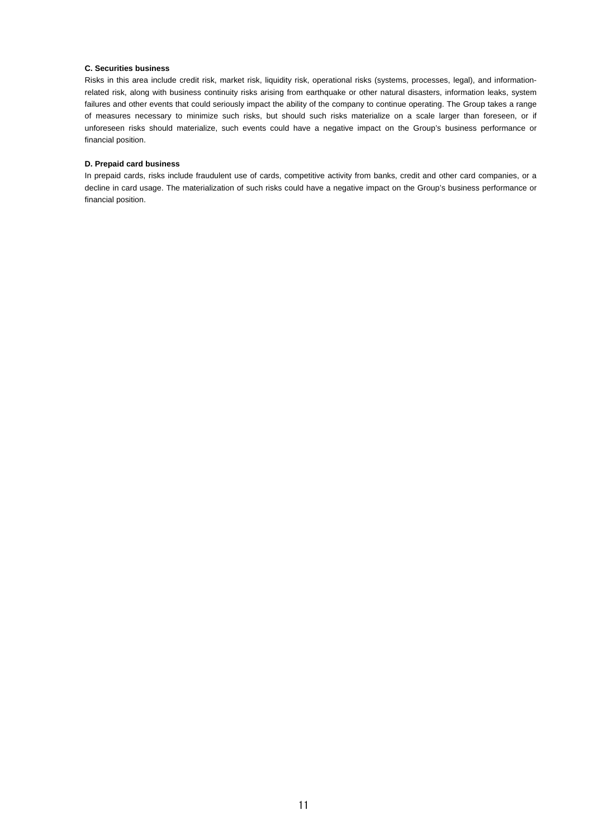### **C. Securities business**

Risks in this area include credit risk, market risk, liquidity risk, operational risks (systems, processes, legal), and informationrelated risk, along with business continuity risks arising from earthquake or other natural disasters, information leaks, system failures and other events that could seriously impact the ability of the company to continue operating. The Group takes a range of measures necessary to minimize such risks, but should such risks materialize on a scale larger than foreseen, or if unforeseen risks should materialize, such events could have a negative impact on the Group's business performance or financial position.

### **D. Prepaid card business**

In prepaid cards, risks include fraudulent use of cards, competitive activity from banks, credit and other card companies, or a decline in card usage. The materialization of such risks could have a negative impact on the Group's business performance or financial position.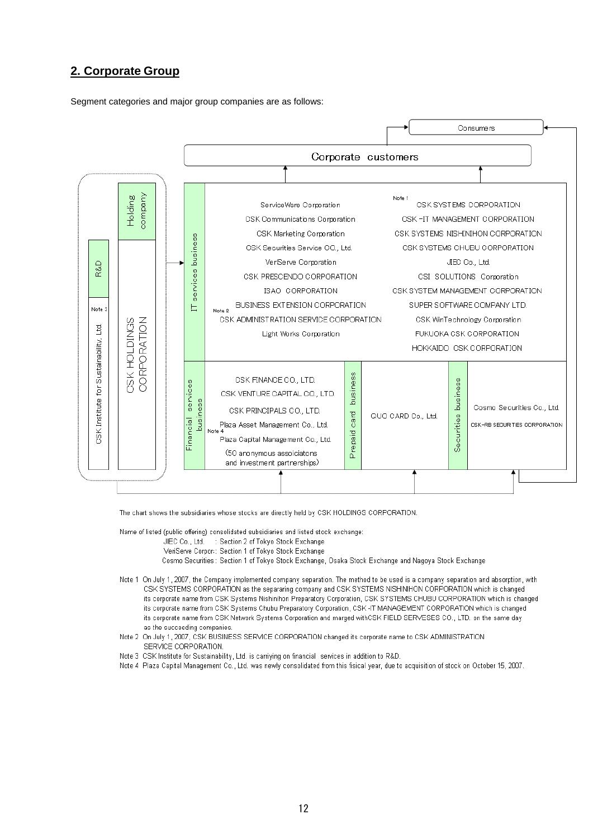## **2. Corporate Group**

Segment categories and major group companies are as follows:



The chart shows the subsidiaries whose stocks are directly held by CSK HOLDINGS CORPORATION.

Name of listed (public offering) consolidated subsidiaries and listed stock exchange:

JIEC Co., Ltd. : Section 2 of Tokyo Stock Exchange

VeriServe Corpor: Section 1 of Tokyo Stock Exchange

Cosmo Securities : Section 1 of Tokyo Stock Exchange, Osaka Stock Exchange and Nagoya Stock Exchange

- Note 1 On July 1, 2007, the Company implemented company separation. The method to be used is a company separation and absorption, with CSK SYSTEMS CORPORATION as the separaring company and CSK SYSTEMS NISHINIHON CORPORATION which is changed its corporate name from CSK Systems Nishinihon Preparatory Corporation, CSK SYSTEMS CHUBU CORPORATION which is changed its corporate name from CSK Systems Chubu Preparatory Corporation, CSK-IT MANAGEMENT CORPORATION which is changed its corporate name from CSK Network Systems Corporation and marged withCSK FIELD SERVESES CO., LTD. on the same day as the succeeding companies
- Note 2 On July 1, 2007, CSK BUSINESS SERVICE CORPORATION changed its corporate name to CSK ADMINISTRATION SERVICE CORPORATION.
- Note 3 CSK Institute for Sustainability, Ltd. is carriying on financial services in addition to R&D.
- Note 4 Plaza Capital Management Co., Ltd. was newly consolidated from this fisical year, due to acquisition of stock on October 15, 2007.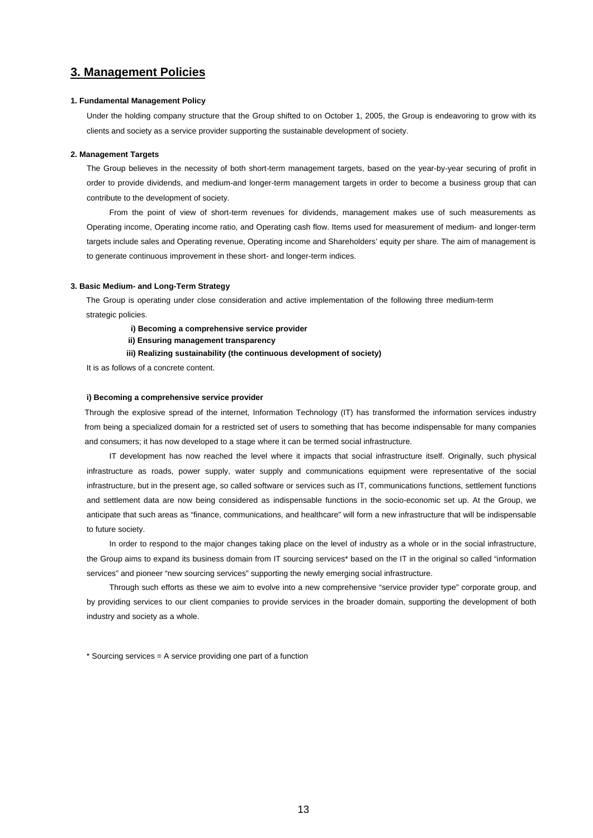## **3. Management Policies**

### **1. Fundamental Management Policy**

Under the holding company structure that the Group shifted to on October 1, 2005, the Group is endeavoring to grow with its clients and society as a service provider supporting the sustainable development of society.

### **2. Management Targets**

The Group believes in the necessity of both short-term management targets, based on the year-by-year securing of profit in order to provide dividends, and medium-and longer-term management targets in order to become a business group that can contribute to the development of society.

From the point of view of short-term revenues for dividends, management makes use of such measurements as Operating income, Operating income ratio, and Operating cash flow. Items used for measurement of medium- and longer-term targets include sales and Operating revenue, Operating income and Shareholders' equity per share. The aim of management is to generate continuous improvement in these short- and longer-term indices.

### **3. Basic Medium- and Long-Term Strategy**

The Group is operating under close consideration and active implementation of the following three medium-term strategic policies.

**i) Becoming a comprehensive service provider**

**ii) Ensuring management transparency**

**iii) Realizing sustainability (the continuous development of society)** 

It is as follows of a concrete content.

### **i) Becoming a comprehensive service provider**

Through the explosive spread of the internet, Information Technology (IT) has transformed the information services industry from being a specialized domain for a restricted set of users to something that has become indispensable for many companies and consumers; it has now developed to a stage where it can be termed social infrastructure.

IT development has now reached the level where it impacts that social infrastructure itself. Originally, such physical infrastructure as roads, power supply, water supply and communications equipment were representative of the social infrastructure, but in the present age, so called software or services such as IT, communications functions, settlement functions and settlement data are now being considered as indispensable functions in the socio-economic set up. At the Group, we anticipate that such areas as "finance, communications, and healthcare" will form a new infrastructure that will be indispensable to future society.

In order to respond to the major changes taking place on the level of industry as a whole or in the social infrastructure, the Group aims to expand its business domain from IT sourcing services\* based on the IT in the original so called "information services" and pioneer "new sourcing services" supporting the newly emerging social infrastructure.

Through such efforts as these we aim to evolve into a new comprehensive "service provider type" corporate group, and by providing services to our client companies to provide services in the broader domain, supporting the development of both industry and society as a whole.

\* Sourcing services = A service providing one part of a function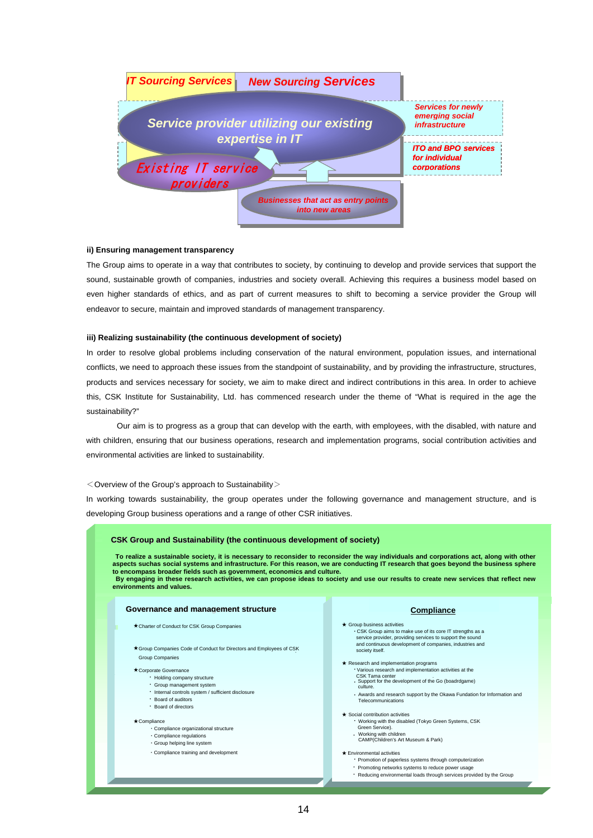

### **ii) Ensuring management transparency**

The Group aims to operate in a way that contributes to society, by continuing to develop and provide services that support the sound, sustainable growth of companies, industries and society overall. Achieving this requires a business model based on even higher standards of ethics, and as part of current measures to shift to becoming a service provider the Group will endeavor to secure, maintain and improved standards of management transparency.

### **iii) Realizing sustainability (the continuous development of society)**

In order to resolve global problems including conservation of the natural environment, population issues, and international conflicts, we need to approach these issues from the standpoint of sustainability, and by providing the infrastructure, structures, products and services necessary for society, we aim to make direct and indirect contributions in this area. In order to achieve this, CSK Institute for Sustainability, Ltd. has commenced research under the theme of "What is required in the age the sustainability?"

 Our aim is to progress as a group that can develop with the earth, with employees, with the disabled, with nature and with children, ensuring that our business operations, research and implementation programs, social contribution activities and environmental activities are linked to sustainability.

#### $<$  Overview of the Group's approach to Sustainability $>$

In working towards sustainability, the group operates under the following governance and management structure, and is developing Group business operations and a range of other CSR initiatives.

#### **CSK Group and Sustainability (the continuous development of society)** ★ Corporate Governance • Holding company structure • Group management system ・ Holding company structure ・ Board of directors ★ Compliance pliance<br>• Compliance organizational structure • Group helping line system  $\cdot$  Compliance training and development Compliance training and development ★ Charter of Conduct for CSK Group Companies  $\star$  Group Companies Code of Conduct for Directors and Employees of CSK ★ Group business activities ・ CSK Group aims to make use of its core IT strengths as a service provider, providing services to support the sound and continuous development of companies, industries and society itself. ★ Research and implementation programs ・ Various research and implementation activities at the CSK Tama center<br>• Support for the development of the Go (boadrdgame)<br>culture. ・ Awards and research support by the Okawa Foundation for Awards and research support by the Okawa Fundation for Information and Telecommunications. ★ Social contribution activities ・ Working with the disabled (Tokyo Green Systems, CSK Green Service). Working with the disabled (Tokyo Green Systems, CSK Green Service). ・Working with children<br>CAMP(Children's Art Museum & Park) ★ Environmental activities Environmental activities<br>
Promotion of paperless systems through computerization<br>
Promotion of paperless systems through computerization ・ Promoting networks systems to reduce power usage ・ Promoting networks systems to reduce power usage ・ Reducing environmental loads through services provided by the Group. ・ Reducing environmental loads through services provided by the Group**Governance and management structure To realize a sustainable society, it is necessary to reconsider the way individuals and corporations act, along**  aspects suchas social systems and infrastructure. For this reason, we are conducting IT research that goes beyond the business sphere **that goes beyond the business sphere to encompass broader fields such as government, economics and to encompass broader fields such as government, economics and culture. culture** in these research activities, we can propose ideas to society ・ Internal controls system / sufficient disclosure ・ Board of auditors ・Compliance regulations CSK Tama center<br>Support for the development of the Go (boadrdgame)<br>culture. **Formalize a sustainable society, it is necessary to reconsider to reconsider the way individuals and corporations act, along with other spects such as polarized tructure.** For this reason, we are conducting IT research th  **By engaging in these research activities, we can propose ideas to society and use our results to create new services that reflect new environments and values. Compliance** Group Companies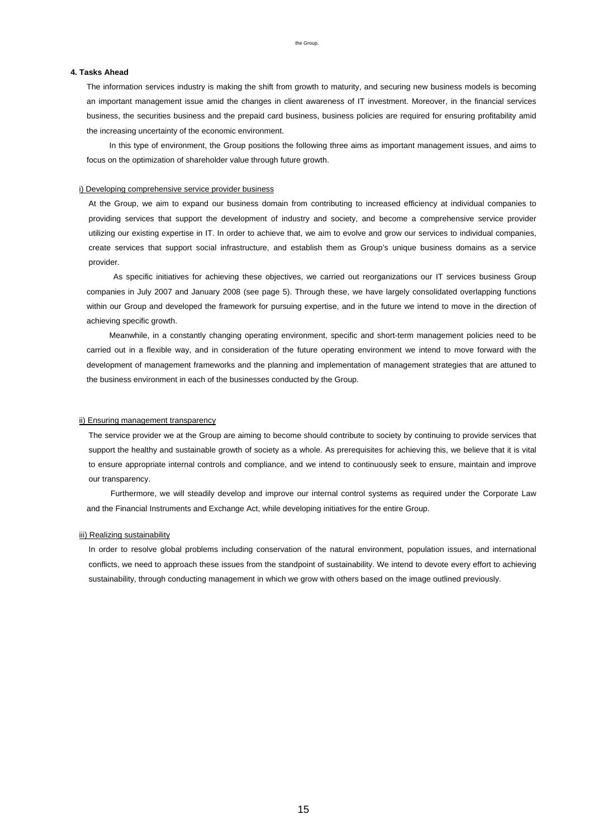#### the Group.

### **4. Tasks Ahead**

The information services industry is making the shift from growth to maturity, and securing new business models is becoming an important management issue amid the changes in client awareness of IT investment. Moreover, in the financial services business, the securities business and the prepaid card business, business policies are required for ensuring profitability amid the increasing uncertainty of the economic environment.

In this type of environment, the Group positions the following three aims as important management issues, and aims to focus on the optimization of shareholder value through future growth.

### i) Developing comprehensive service provider business

At the Group, we aim to expand our business domain from contributing to increased efficiency at individual companies to providing services that support the development of industry and society, and become a comprehensive service provider utilizing our existing expertise in IT. In order to achieve that, we aim to evolve and grow our services to individual companies, create services that support social infrastructure, and establish them as Group's unique business domains as a service provider.

 As specific initiatives for achieving these objectives, we carried out reorganizations our IT services business Group companies in July 2007 and January 2008 (see page 5). Through these, we have largely consolidated overlapping functions within our Group and developed the framework for pursuing expertise, and in the future we intend to move in the direction of achieving specific growth.

Meanwhile, in a constantly changing operating environment, specific and short-term management policies need to be carried out in a flexible way, and in consideration of the future operating environment we intend to move forward with the development of management frameworks and the planning and implementation of management strategies that are attuned to the business environment in each of the businesses conducted by the Group.

### ii) Ensuring management transparency

The service provider we at the Group are aiming to become should contribute to society by continuing to provide services that support the healthy and sustainable growth of society as a whole. As prerequisites for achieving this, we believe that it is vital to ensure appropriate internal controls and compliance, and we intend to continuously seek to ensure, maintain and improve our transparency.

 Furthermore, we will steadily develop and improve our internal control systems as required under the Corporate Law and the Financial Instruments and Exchange Act, while developing initiatives for the entire Group.

#### iii) Realizing sustainability

In order to resolve global problems including conservation of the natural environment, population issues, and international conflicts, we need to approach these issues from the standpoint of sustainability. We intend to devote every effort to achieving sustainability, through conducting management in which we grow with others based on the image outlined previously.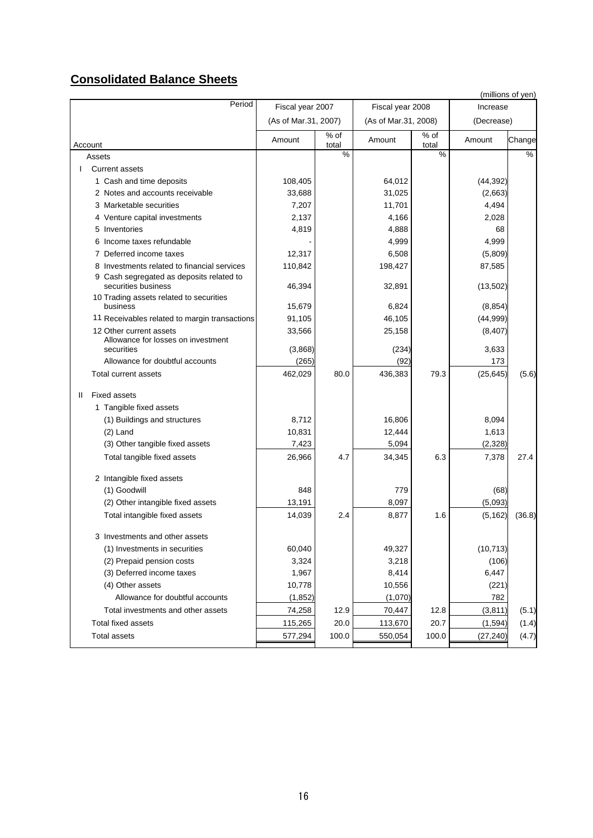# **Consolidated Balance Sheets**

|                                                                             |                      |                 |                      |               |                   | (millions of yen) |
|-----------------------------------------------------------------------------|----------------------|-----------------|----------------------|---------------|-------------------|-------------------|
| Period                                                                      | Fiscal year 2007     |                 | Fiscal year 2008     |               | Increase          |                   |
|                                                                             | (As of Mar.31, 2007) |                 | (As of Mar.31, 2008) |               | (Decrease)        |                   |
| Account                                                                     | Amount               | $%$ of<br>total | Amount               | % of<br>total | Amount            | Change            |
| Assets                                                                      |                      | %               |                      | %             |                   | %                 |
| <b>Current assets</b>                                                       |                      |                 |                      |               |                   |                   |
| 1 Cash and time deposits                                                    | 108,405              |                 | 64,012               |               | (44, 392)         |                   |
| 2 Notes and accounts receivable                                             | 33,688               |                 | 31,025               |               | (2,663)           |                   |
| 3 Marketable securities                                                     | 7,207                |                 | 11,701               |               | 4,494             |                   |
| 4 Venture capital investments                                               | 2,137                |                 | 4,166                |               | 2,028             |                   |
| 5 Inventories                                                               | 4,819                |                 | 4,888                |               | 68                |                   |
| 6 Income taxes refundable                                                   |                      |                 | 4,999                |               | 4,999             |                   |
| 7 Deferred income taxes                                                     | 12,317               |                 | 6,508                |               | (5,809)           |                   |
| 8 Investments related to financial services                                 | 110,842              |                 | 198,427              |               | 87,585            |                   |
| 9 Cash segregated as deposits related to<br>securities business             | 46,394               |                 | 32,891               |               | (13,502)          |                   |
| 10 Trading assets related to securities<br>business                         | 15,679               |                 | 6,824                |               | (8, 854)          |                   |
| 11 Receivables related to margin transactions                               | 91,105               |                 | 46,105               |               | (44, 999)         |                   |
| 12 Other current assets<br>Allowance for losses on investment<br>securities | 33,566<br>(3,868)    |                 | 25,158<br>(234)      |               | (8, 407)<br>3,633 |                   |
| Allowance for doubtful accounts                                             | (265)                |                 | (92)                 |               | 173               |                   |
|                                                                             |                      |                 |                      |               |                   |                   |
| Total current assets                                                        | 462,029              | 80.0            | 436,383              | 79.3          | (25, 645)         | (5.6)             |
| <b>Fixed assets</b><br>Ш.                                                   |                      |                 |                      |               |                   |                   |
| 1 Tangible fixed assets                                                     |                      |                 |                      |               |                   |                   |
| (1) Buildings and structures                                                | 8,712                |                 | 16,806               |               | 8,094             |                   |
| $(2)$ Land                                                                  | 10,831               |                 | 12,444               |               | 1,613             |                   |
| (3) Other tangible fixed assets                                             | 7,423                |                 | 5,094                |               | (2, 328)          |                   |
| Total tangible fixed assets                                                 | 26,966               | 4.7             | 34,345               | 6.3           | 7,378             | 27.4              |
| 2 Intangible fixed assets                                                   |                      |                 |                      |               |                   |                   |
| (1) Goodwill                                                                | 848                  |                 | 779                  |               | (68)              |                   |
| (2) Other intangible fixed assets                                           | 13,191               |                 | 8,097                |               | (5,093)           |                   |
| Total intangible fixed assets                                               | 14,039               | 2.4             | 8,877                | 1.6           | (5, 162)          | (36.8)            |
| 3 Investments and other assets                                              |                      |                 |                      |               |                   |                   |
| (1) Investments in securities                                               | 60,040               |                 | 49,327               |               | (10, 713)         |                   |
| (2) Prepaid pension costs                                                   | 3,324                |                 | 3,218                |               | (106)             |                   |
| (3) Deferred income taxes                                                   | 1,967                |                 | 8,414                |               | 6,447             |                   |
| (4) Other assets                                                            | 10,778               |                 | 10,556               |               | (221)             |                   |
| Allowance for doubtful accounts                                             | (1, 852)             |                 | (1,070)              |               | 782               |                   |
| Total investments and other assets                                          | 74,258               | 12.9            | 70,447               | 12.8          | (3, 811)          | (5.1)             |
| <b>Total fixed assets</b>                                                   | 115,265              | 20.0            | 113,670              | 20.7          | (1, 594)          | (1.4)             |
| <b>Total assets</b>                                                         | 577,294              | 100.0           | 550,054              | 100.0         | (27, 240)         | (4.7)             |
|                                                                             |                      |                 |                      |               |                   |                   |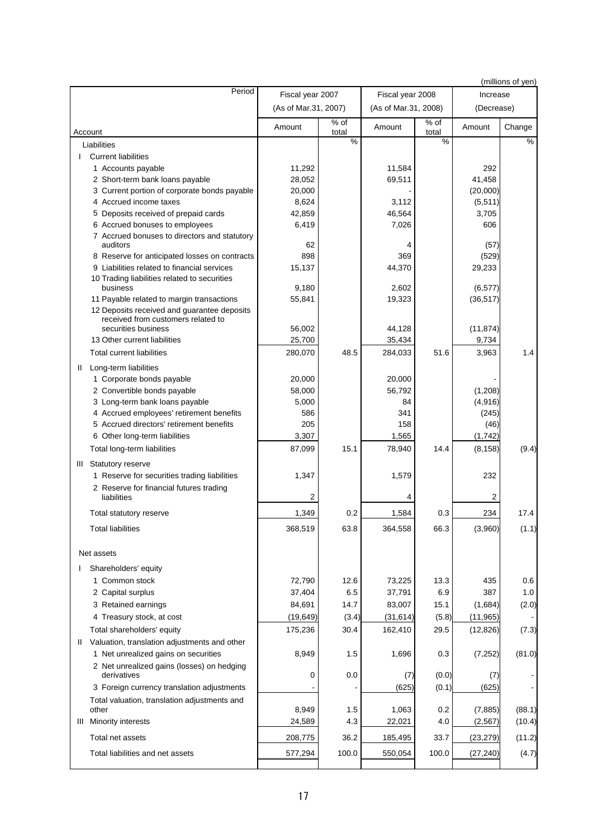|                                                                                   |                      |               |                      |               |            | (millions of yen) |
|-----------------------------------------------------------------------------------|----------------------|---------------|----------------------|---------------|------------|-------------------|
| Period                                                                            | Fiscal year 2007     |               | Fiscal year 2008     |               | Increase   |                   |
|                                                                                   | (As of Mar.31, 2007) |               | (As of Mar.31, 2008) |               | (Decrease) |                   |
| Account                                                                           | Amount               | % of<br>total | Amount               | % of<br>total | Amount     | Change            |
| Liabilities                                                                       |                      | $\frac{0}{0}$ |                      | %             |            | $\frac{0}{0}$     |
| <b>Current liabilities</b>                                                        |                      |               |                      |               |            |                   |
| 1 Accounts payable                                                                | 11,292               |               | 11,584               |               | 292        |                   |
| 2 Short-term bank loans payable                                                   | 28,052               |               | 69,511               |               | 41,458     |                   |
| 3 Current portion of corporate bonds payable                                      | 20,000               |               |                      |               | (20,000)   |                   |
| 4 Accrued income taxes                                                            | 8,624                |               | 3,112                |               | (5, 511)   |                   |
| 5 Deposits received of prepaid cards                                              | 42,859               |               | 46,564               |               | 3,705      |                   |
| 6 Accrued bonuses to employees                                                    | 6,419                |               | 7,026                |               | 606        |                   |
| 7 Accrued bonuses to directors and statutory<br>auditors                          | 62                   |               | 4                    |               | (57)       |                   |
| 8 Reserve for anticipated losses on contracts                                     | 898                  |               | 369                  |               | (529)      |                   |
| 9 Liabilities related to financial services                                       | 15,137               |               | 44,370               |               | 29,233     |                   |
| 10 Trading liabilities related to securities<br>business                          | 9,180                |               | 2,602                |               | (6, 577)   |                   |
| 11 Payable related to margin transactions                                         | 55,841               |               | 19,323               |               | (36, 517)  |                   |
| 12 Deposits received and guarantee deposits<br>received from customers related to |                      |               |                      |               |            |                   |
| securities business                                                               | 56,002               |               | 44,128               |               | (11, 874)  |                   |
| 13 Other current liabilities                                                      | 25,700               |               | 35,434               |               | 9,734      |                   |
| Total current liabilities                                                         | 280,070              | 48.5          | 284,033              | 51.6          | 3,963      | 1.4               |
| Long-term liabilities<br>Ш                                                        |                      |               |                      |               |            |                   |
| 1 Corporate bonds payable                                                         | 20,000               |               | 20,000               |               |            |                   |
| 2 Convertible bonds payable                                                       | 58,000               |               | 56,792               |               | (1, 208)   |                   |
| 3 Long-term bank loans payable                                                    | 5,000                |               | 84                   |               | (4,916)    |                   |
| 4 Accrued employees' retirement benefits                                          | 586                  |               | 341                  |               | (245)      |                   |
| 5 Accrued directors' retirement benefits                                          | 205                  |               | 158                  |               | (46)       |                   |
| 6 Other long-term liabilities                                                     | 3,307                |               | 1,565                |               | (1,742)    |                   |
| Total long-term liabilities                                                       | 87,099               | 15.1          | 78,940               | 14.4          | (8, 158)   | (9.4)             |
| <b>Statutory reserve</b><br>Ш                                                     |                      |               |                      |               |            |                   |
| 1 Reserve for securities trading liabilities                                      | 1,347                |               | 1,579                |               | 232        |                   |
| 2 Reserve for financial futures trading                                           |                      |               |                      |               |            |                   |
| liabilities                                                                       | 2                    |               | 4                    |               | 2          |                   |
| Total statutory reserve                                                           | 1,349                | 0.2           | 1,584                | 0.3           | 234        | 17.4              |
| <b>Total liabilities</b>                                                          | 368,519              | 63.8          | 364,558              | 66.3          | (3,960)    | (1.1)             |
| Net assets                                                                        |                      |               |                      |               |            |                   |
| Shareholders' equity                                                              |                      |               |                      |               |            |                   |
| 1 Common stock                                                                    | 72,790               | 12.6          | 73,225               | 13.3          | 435        | 0.6               |
| 2 Capital surplus                                                                 | 37,404               | 6.5           | 37,791               | 6.9           | 387        | 1.0               |
| 3 Retained earnings                                                               | 84,691               | 14.7          | 83,007               | 15.1          | (1,684)    | (2.0)             |
| 4 Treasury stock, at cost                                                         | (19, 649)            | (3.4)         | (31, 614)            | (5.8)         | (11, 965)  |                   |
| Total shareholders' equity                                                        | 175,236              | 30.4          | 162,410              | 29.5          | (12, 826)  | (7.3)             |
| Valuation, translation adjustments and other<br>$\mathbf{H}$                      |                      |               |                      |               |            |                   |
| 1 Net unrealized gains on securities                                              | 8,949                | 1.5           | 1,696                | 0.3           | (7, 252)   | (81.0)            |
| 2 Net unrealized gains (losses) on hedging<br>derivatives                         | 0                    | 0.0           | (7)                  | (0.0)         | (7)        |                   |
| 3 Foreign currency translation adjustments                                        |                      |               | (625)                | (0.1)         | (625)      |                   |
| Total valuation, translation adjustments and                                      |                      |               |                      |               |            |                   |
| other                                                                             | 8,949                | 1.5           | 1,063                | 0.2           | (7, 885)   | (88.1)            |
| III Minority interests                                                            | 24,589               | 4.3           | 22,021               | 4.0           | (2, 567)   | (10.4)            |
| Total net assets                                                                  | 208,775              | 36.2          | 185,495              | 33.7          | (23, 279)  | (11.2)            |
| Total liabilities and net assets                                                  | 577,294              | 100.0         | 550,054              | 100.0         | (27, 240)  | (4.7)             |
|                                                                                   |                      |               |                      |               |            |                   |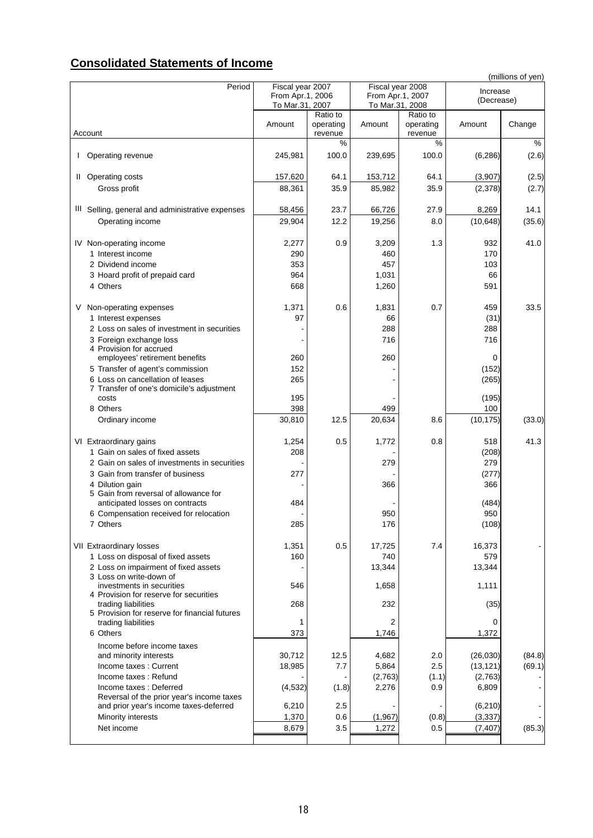## **Consolidated Statements of Income**

|                                                                               |                                     |                      |                                     |                      |                      | (millions of yen) |
|-------------------------------------------------------------------------------|-------------------------------------|----------------------|-------------------------------------|----------------------|----------------------|-------------------|
| Period                                                                        | Fiscal year 2007                    |                      | Fiscal year 2008                    |                      | Increase             |                   |
|                                                                               | From Apr.1, 2006<br>To Mar.31, 2007 |                      | From Apr.1, 2007<br>To Mar.31, 2008 |                      | (Decrease)           |                   |
|                                                                               |                                     | Ratio to             |                                     | Ratio to             |                      |                   |
| Account                                                                       | Amount                              | operating<br>revenue | Amount                              | operating<br>revenue | Amount               | Change            |
|                                                                               |                                     | %                    |                                     | %                    |                      | %                 |
| Operating revenue                                                             | 245,981                             | 100.0                | 239,695                             | 100.0                | (6, 286)             | (2.6)             |
| II Operating costs                                                            | 157,620                             | 64.1                 | 153,712                             | 64.1                 | (3,907)              | (2.5)             |
| Gross profit                                                                  | 88,361                              | 35.9                 | 85,982                              | 35.9                 | (2,378)              | (2.7)             |
| III Selling, general and administrative expenses                              | 58,456                              | 23.7                 | 66,726                              | 27.9                 | 8,269                | 14.1              |
| Operating income                                                              | 29,904                              | 12.2                 | 19,256                              | 8.0                  | (10, 648)            | (35.6)            |
| IV Non-operating income                                                       | 2,277                               | 0.9                  | 3,209                               | 1.3                  | 932                  | 41.0              |
| 1 Interest income                                                             | 290                                 |                      | 460                                 |                      | 170                  |                   |
| 2 Dividend income                                                             | 353                                 |                      | 457                                 |                      | 103                  |                   |
| 3 Hoard profit of prepaid card                                                | 964                                 |                      | 1,031                               |                      | 66                   |                   |
| 4 Others                                                                      | 668                                 |                      | 1,260                               |                      | 591                  |                   |
| V<br>Non-operating expenses                                                   | 1,371                               | 0.6                  | 1,831                               | 0.7                  | 459                  | 33.5              |
| 1 Interest expenses                                                           | 97                                  |                      | 66                                  |                      | (31)                 |                   |
| 2 Loss on sales of investment in securities                                   |                                     |                      | 288                                 |                      | 288                  |                   |
| 3 Foreign exchange loss<br>4 Provision for accrued                            |                                     |                      | 716                                 |                      | 716                  |                   |
| employees' retirement benefits                                                | 260                                 |                      | 260                                 |                      | 0                    |                   |
| 5 Transfer of agent's commission                                              | 152                                 |                      |                                     |                      | (152)                |                   |
| 6 Loss on cancellation of leases<br>7 Transfer of one's domicile's adjustment | 265                                 |                      |                                     |                      | (265)                |                   |
| costs                                                                         | 195                                 |                      |                                     |                      | (195)                |                   |
| 8 Others                                                                      | 398                                 |                      | 499                                 |                      | 100                  |                   |
| Ordinary income                                                               | 30,810                              | 12.5                 | 20,634                              | 8.6                  | (10, 175)            | (33.0)            |
| VI Extraordinary gains                                                        | 1,254                               | 0.5                  | 1,772                               | 0.8                  | 518                  | 41.3              |
| 1 Gain on sales of fixed assets                                               | 208                                 |                      |                                     |                      | (208)                |                   |
| 2 Gain on sales of investments in securities                                  |                                     |                      | 279                                 |                      | 279                  |                   |
| 3 Gain from transfer of business                                              | 277                                 |                      |                                     |                      | (277)                |                   |
| 4 Dilution gain                                                               |                                     |                      | 366                                 |                      | 366                  |                   |
| 5 Gain from reversal of allowance for<br>anticipated losses on contracts      | 484                                 |                      |                                     |                      | (484)                |                   |
| 6 Compensation received for relocation                                        |                                     |                      | 950                                 |                      | 950                  |                   |
| 7 Others                                                                      | 285                                 |                      | 176                                 |                      | (108)                |                   |
| VII Extraordinary losses                                                      | 1,351                               | 0.5                  | 17,725                              | 7.4                  | 16,373               |                   |
| 1 Loss on disposal of fixed assets                                            | 160                                 |                      | 740                                 |                      | 579                  |                   |
| 2 Loss on impairment of fixed assets<br>3 Loss on write-down of               |                                     |                      | 13,344                              |                      | 13,344               |                   |
| investments in securities                                                     | 546                                 |                      | 1,658                               |                      | 1,111                |                   |
| 4 Provision for reserve for securities<br>trading liabilities                 | 268                                 |                      | 232                                 |                      | (35)                 |                   |
| 5 Provision for reserve for financial futures                                 |                                     |                      |                                     |                      |                      |                   |
| trading liabilities<br>6 Others                                               | 1<br>373                            |                      | 2<br>1,746                          |                      | 0<br>1,372           |                   |
| Income before income taxes                                                    |                                     |                      |                                     |                      |                      |                   |
| and minority interests                                                        | 30,712                              | 12.5                 | 4,682                               | 2.0                  | (26, 030)            | (84.8)            |
| Income taxes: Current                                                         | 18,985                              | 7.7                  | 5,864                               | 2.5                  | (13, 121)            | (69.1)            |
| Income taxes: Refund<br>Income taxes: Deferred                                | (4, 532)                            | (1.8)                | (2,763)<br>2,276                    | (1.1)<br>0.9         | (2,763)<br>6,809     |                   |
| Reversal of the prior year's income taxes                                     |                                     |                      |                                     |                      |                      |                   |
| and prior year's income taxes-deferred<br>Minority interests                  | 6,210<br>1,370                      | 2.5<br>0.6           | (1, 967)                            | (0.8)                | (6, 210)<br>(3, 337) |                   |
| Net income                                                                    | 8,679                               | 3.5                  | 1,272                               | 0.5                  | (7, 407)             | (85.3)            |
|                                                                               |                                     |                      |                                     |                      |                      |                   |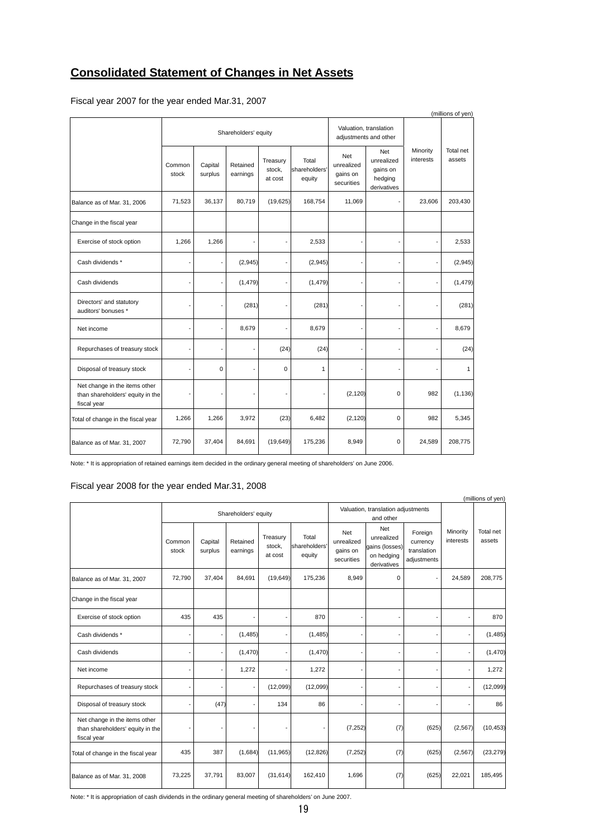## **Consolidated Statement of Changes in Net Assets**

| (millions of yen)                                                                |                 |                    |                      |                               |                                  |                                                 |                                                                |                       |                     |
|----------------------------------------------------------------------------------|-----------------|--------------------|----------------------|-------------------------------|----------------------------------|-------------------------------------------------|----------------------------------------------------------------|-----------------------|---------------------|
|                                                                                  |                 |                    | Shareholders' equity |                               |                                  | Valuation, translation<br>adjustments and other |                                                                |                       |                     |
|                                                                                  | Common<br>stock | Capital<br>surplus | Retained<br>earnings | Treasury<br>stock,<br>at cost | Total<br>shareholders'<br>equity | Net<br>unrealized<br>gains on<br>securities     | <b>Net</b><br>unrealized<br>gains on<br>hedging<br>derivatives | Minority<br>interests | Total net<br>assets |
| Balance as of Mar. 31, 2006                                                      | 71,523          | 36,137             | 80,719               | (19, 625)                     | 168,754                          | 11,069                                          |                                                                | 23,606                | 203,430             |
| Change in the fiscal year                                                        |                 |                    |                      |                               |                                  |                                                 |                                                                |                       |                     |
| Exercise of stock option                                                         | 1,266           | 1,266              |                      |                               | 2,533                            |                                                 |                                                                |                       | 2,533               |
| Cash dividends *                                                                 |                 |                    | (2,945)              |                               | (2, 945)                         |                                                 |                                                                |                       | (2, 945)            |
| Cash dividends                                                                   |                 |                    | (1, 479)             |                               | (1, 479)                         |                                                 |                                                                |                       | (1, 479)            |
| Directors' and statutory<br>auditors' bonuses *                                  |                 |                    | (281)                |                               | (281)                            |                                                 |                                                                |                       | (281)               |
| Net income                                                                       |                 |                    | 8,679                |                               | 8,679                            |                                                 |                                                                |                       | 8,679               |
| Repurchases of treasury stock                                                    |                 |                    |                      | (24)                          | (24)                             |                                                 |                                                                |                       | (24)                |
| Disposal of treasury stock                                                       |                 | 0                  |                      | 0                             | 1                                |                                                 |                                                                |                       | $\mathbf{1}$        |
| Net change in the items other<br>than shareholders' equity in the<br>fiscal year |                 | ٠                  |                      | $\overline{\phantom{a}}$      |                                  | (2, 120)                                        | $\Omega$                                                       | 982                   | (1, 136)            |
| Total of change in the fiscal year                                               | 1,266           | 1,266              | 3,972                | (23)                          | 6,482                            | (2, 120)                                        | $\mathbf 0$                                                    | 982                   | 5,345               |
| Balance as of Mar. 31, 2007                                                      | 72,790          | 37,404             | 84,691               | (19, 649)                     | 175,236                          | 8,949                                           | $\Omega$                                                       | 24,589                | 208,775             |

Fiscal year 2007 for the year ended Mar.31, 2007

Note: \* It is appropriation of retained earnings item decided in the ordinary general meeting of shareholders' on June 2006.

## Fiscal year 2008 for the year ended Mar.31, 2008

|                                                                                  |                 |                      |                      |                               |                                  |                                                 |                                                                  |                                                   |                          | (millions of yen)   |
|----------------------------------------------------------------------------------|-----------------|----------------------|----------------------|-------------------------------|----------------------------------|-------------------------------------------------|------------------------------------------------------------------|---------------------------------------------------|--------------------------|---------------------|
|                                                                                  |                 | Shareholders' equity |                      |                               |                                  | Valuation, translation adjustments<br>and other |                                                                  |                                                   |                          |                     |
|                                                                                  | Common<br>stock | Capital<br>surplus   | Retained<br>earnings | Treasury<br>stock,<br>at cost | Total<br>shareholders'<br>equity | Net<br>unrealized<br>gains on<br>securities     | Net<br>unrealized<br>gains (losses)<br>on hedging<br>derivatives | Foreign<br>currency<br>translation<br>adjustments | Minority<br>interests    | Total net<br>assets |
| Balance as of Mar. 31, 2007                                                      | 72,790          | 37,404               | 84,691               | (19, 649)                     | 175,236                          | 8,949                                           | $\mathbf 0$                                                      |                                                   | 24,589                   | 208,775             |
| Change in the fiscal year                                                        |                 |                      |                      |                               |                                  |                                                 |                                                                  |                                                   |                          |                     |
| Exercise of stock option                                                         | 435             | 435                  |                      |                               | 870                              |                                                 | ۰                                                                |                                                   | $\overline{\phantom{a}}$ | 870                 |
| Cash dividends *                                                                 |                 |                      | (1, 485)             |                               | (1, 485)                         |                                                 | ٠                                                                |                                                   | $\blacksquare$           | (1, 485)            |
| Cash dividends                                                                   |                 |                      | (1, 470)             |                               | (1, 470)                         |                                                 | -                                                                |                                                   | $\overline{\phantom{a}}$ | (1,470)             |
| Net income                                                                       |                 |                      | 1,272                |                               | 1,272                            |                                                 | $\overline{a}$                                                   |                                                   |                          | 1,272               |
| Repurchases of treasury stock                                                    |                 |                      |                      | (12,099)                      | (12,099)                         |                                                 | $\overline{a}$                                                   |                                                   | $\blacksquare$           | (12,099)            |
| Disposal of treasury stock                                                       |                 | (47)                 |                      | 134                           | 86                               |                                                 | $\overline{a}$                                                   |                                                   |                          | 86                  |
| Net change in the items other<br>than shareholders' equity in the<br>fiscal year |                 |                      |                      |                               |                                  | (7, 252)                                        | (7)                                                              | (625)                                             | (2, 567)                 | (10, 453)           |
| Total of change in the fiscal year                                               | 435             | 387                  | (1,684)              | (11, 965)                     | (12, 826)                        | (7, 252)                                        | (7)                                                              | (625)                                             | (2, 567)                 | (23, 279)           |
| Balance as of Mar. 31, 2008                                                      | 73,225          | 37,791               | 83,007               | (31, 614)                     | 162,410                          | 1,696                                           | (7)                                                              | (625)                                             | 22,021                   | 185,495             |

Note: \* It is appropriation of cash dividends in the ordinary general meeting of shareholders' on June 2007.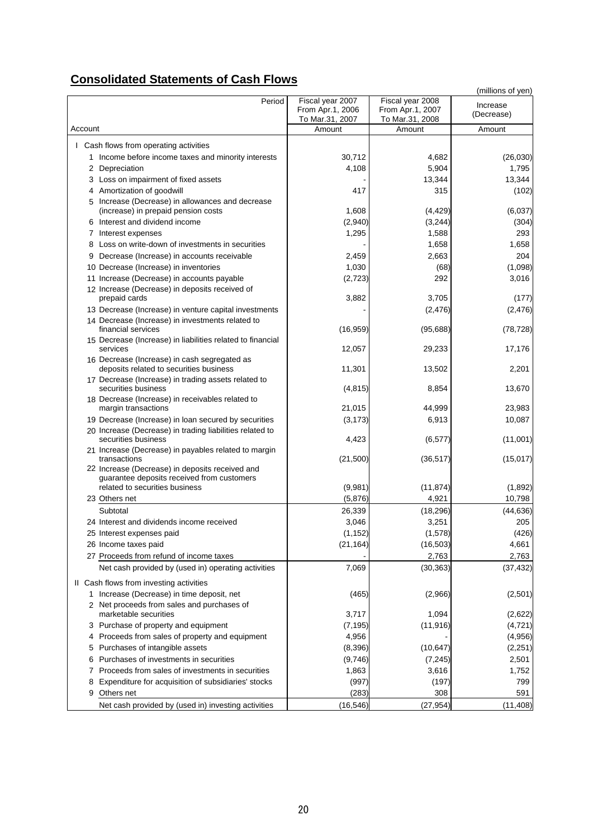# **Consolidated Statements of Cash Flows**

|                                                                                               |                                     |                                     | (millions of yen) |
|-----------------------------------------------------------------------------------------------|-------------------------------------|-------------------------------------|-------------------|
| Period                                                                                        | Fiscal year 2007                    | Fiscal year 2008                    | Increase          |
|                                                                                               | From Apr.1, 2006<br>To Mar.31, 2007 | From Apr.1, 2007<br>To Mar.31, 2008 | (Decrease)        |
| Account                                                                                       | Amount                              | Amount                              | Amount            |
|                                                                                               |                                     |                                     |                   |
| I Cash flows from operating activities                                                        |                                     |                                     |                   |
| 1 Income before income taxes and minority interests                                           | 30,712                              | 4,682                               | (26, 030)         |
| 2 Depreciation                                                                                | 4,108                               | 5,904                               | 1,795             |
| 3 Loss on impairment of fixed assets                                                          |                                     | 13,344                              | 13,344            |
| 4 Amortization of goodwill                                                                    | 417                                 | 315                                 | (102)             |
| 5 Increase (Decrease) in allowances and decrease<br>(increase) in prepaid pension costs       | 1,608                               | (4, 429)                            | (6,037)           |
| 6 Interest and dividend income                                                                | (2,940)                             | (3,244)                             | (304)             |
| 7 Interest expenses                                                                           | 1,295                               | 1,588                               | 293               |
| 8 Loss on write-down of investments in securities                                             |                                     | 1,658                               | 1,658             |
| Decrease (Increase) in accounts receivable<br>9                                               | 2,459                               | 2,663                               | 204               |
| 10 Decrease (Increase) in inventories                                                         | 1,030                               | (68)                                | (1,098)           |
| 11 Increase (Decrease) in accounts payable                                                    | (2, 723)                            | 292                                 | 3,016             |
| 12 Increase (Decrease) in deposits received of                                                |                                     |                                     |                   |
| prepaid cards                                                                                 | 3,882                               | 3,705                               | (177)             |
| 13 Decrease (Increase) in venture capital investments                                         |                                     | (2, 476)                            | (2, 476)          |
| 14 Decrease (Increase) in investments related to<br>financial services                        | (16, 959)                           | (95,688)                            | (78, 728)         |
| 15 Decrease (Increase) in liabilities related to financial<br>services                        | 12,057                              | 29,233                              | 17,176            |
| 16 Decrease (Increase) in cash segregated as                                                  |                                     |                                     |                   |
| deposits related to securities business                                                       | 11,301                              | 13,502                              | 2,201             |
| 17 Decrease (Increase) in trading assets related to<br>securities business                    | (4, 815)                            | 8,854                               | 13,670            |
| 18 Decrease (Increase) in receivables related to                                              |                                     |                                     |                   |
| margin transactions                                                                           | 21,015                              | 44,999                              | 23,983            |
| 19 Decrease (Increase) in loan secured by securities                                          | (3, 173)                            | 6,913                               | 10,087            |
| 20 Increase (Decrease) in trading liabilities related to<br>securities business               | 4,423                               | (6, 577)                            | (11,001)          |
| 21 Increase (Decrease) in payables related to margin<br>transactions                          | (21, 500)                           | (36, 517)                           | (15, 017)         |
| 22 Increase (Decrease) in deposits received and<br>guarantee deposits received from customers |                                     |                                     |                   |
| related to securities business                                                                | (9,981)                             | (11, 874)                           | (1,892)           |
| 23 Others net                                                                                 | (5,876)                             | 4,921                               | 10,798            |
| Subtotal                                                                                      | 26,339                              | (18, 296)                           | (44, 636)         |
| 24 Interest and dividends income received                                                     | 3,046                               | 3,251                               | 205               |
| 25 Interest expenses paid                                                                     | (1, 152)                            | (1,578)                             | (426)             |
| 26 Income taxes paid                                                                          | (21, 164)                           | (16, 503)                           | 4,661             |
| 27 Proceeds from refund of income taxes                                                       |                                     | 2,763                               | 2,763             |
| Net cash provided by (used in) operating activities                                           | 7,069                               | (30, 363)                           | (37, 432)         |
| II Cash flows from investing activities                                                       |                                     |                                     |                   |
| 1 Increase (Decrease) in time deposit, net                                                    | (465)                               | (2,966)                             | (2,501)           |
| 2 Net proceeds from sales and purchases of                                                    |                                     |                                     |                   |
| marketable securities                                                                         | 3,717                               | 1,094                               | (2,622)           |
| 3 Purchase of property and equipment                                                          | (7, 195)                            | (11, 916)                           | (4, 721)          |
| 4 Proceeds from sales of property and equipment                                               | 4,956                               |                                     | (4,956)           |
| Purchases of intangible assets<br>5                                                           | (8, 396)                            | (10, 647)                           | (2, 251)          |
| Purchases of investments in securities<br>6                                                   | (9,746)                             | (7, 245)                            | 2,501             |
| 7 Proceeds from sales of investments in securities                                            | 1,863                               | 3,616                               | 1,752             |
| Expenditure for acquisition of subsidiaries' stocks<br>8                                      | (997)                               | (197)                               | 799               |
| Others net<br>9                                                                               | (283)                               | 308                                 | 591               |
| Net cash provided by (used in) investing activities                                           | (16, 546)                           | (27, 954)                           | (11, 408)         |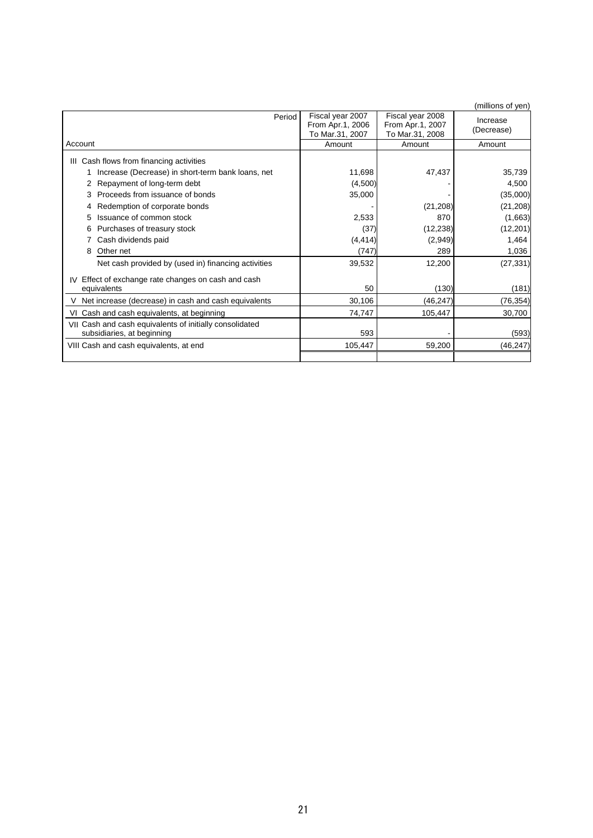|                                                                                       |                                                         |                                                         | (millions of yen)      |
|---------------------------------------------------------------------------------------|---------------------------------------------------------|---------------------------------------------------------|------------------------|
| Period                                                                                | Fiscal year 2007<br>From Apr.1, 2006<br>To Mar.31, 2007 | Fiscal year 2008<br>From Apr.1, 2007<br>To Mar.31, 2008 | Increase<br>(Decrease) |
| Account                                                                               | Amount                                                  | Amount                                                  | Amount                 |
| III Cash flows from financing activities                                              |                                                         |                                                         |                        |
| Increase (Decrease) in short-term bank loans, net                                     | 11,698                                                  | 47,437                                                  | 35,739                 |
| Repayment of long-term debt                                                           | (4,500)                                                 |                                                         | 4,500                  |
| Proceeds from issuance of bonds                                                       | 35,000                                                  |                                                         | (35,000)               |
| Redemption of corporate bonds                                                         |                                                         | (21, 208)                                               | (21, 208)              |
| Issuance of common stock<br>5                                                         | 2,533                                                   | 870                                                     | (1,663)                |
| Purchases of treasury stock<br>6                                                      | (37)                                                    | (12, 238)                                               | (12, 201)              |
| Cash dividends paid                                                                   | (4, 414)                                                | (2,949)                                                 | 1,464                  |
| Other net<br>8                                                                        | (747)                                                   | 289                                                     | 1,036                  |
| Net cash provided by (used in) financing activities                                   | 39,532                                                  | 12,200                                                  | (27, 331)              |
| IV Effect of exchange rate changes on cash and cash                                   |                                                         |                                                         |                        |
| equivalents                                                                           | 50                                                      | (130)                                                   | (181)                  |
| Net increase (decrease) in cash and cash equivalents                                  | 30,106                                                  | (46, 247)                                               | (76,354)               |
| VI Cash and cash equivalents, at beginning                                            | 74,747                                                  | 105,447                                                 | 30,700                 |
| VII Cash and cash equivalents of initially consolidated<br>subsidiaries, at beginning | 593                                                     |                                                         | (593)                  |
| VIII Cash and cash equivalents, at end                                                | 105,447                                                 | 59,200                                                  | (46, 247)              |
|                                                                                       |                                                         |                                                         |                        |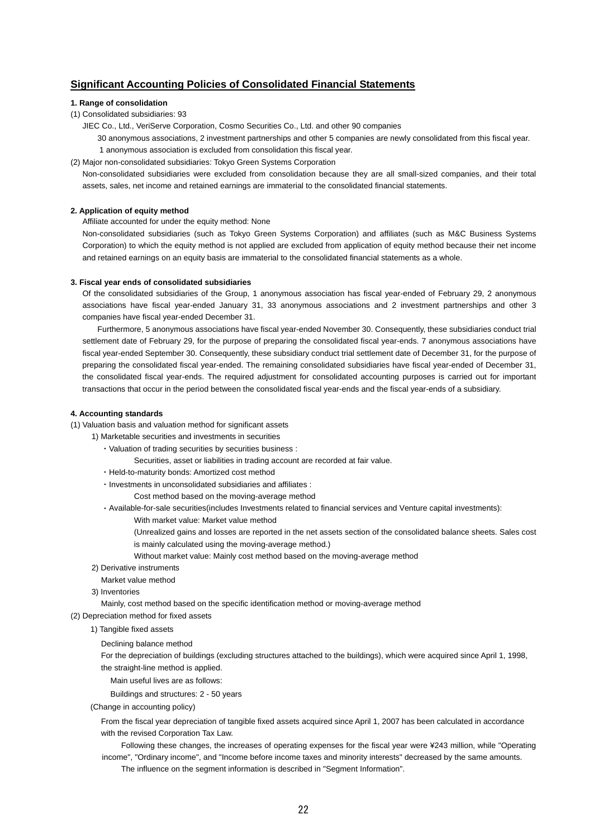## **Significant Accounting Policies of Consolidated Financial Statements**

### **1. Range of consolidation**

- (1) Consolidated subsidiaries: 93
	- JIEC Co., Ltd., VeriServe Corporation, Cosmo Securities Co., Ltd. and other 90 companies

30 anonymous associations, 2 investment partnerships and other 5 companies are newly consolidated from this fiscal year. 1 anonymous association is excluded from consolidation this fiscal year.

(2) Major non-consolidated subsidiaries: Tokyo Green Systems Corporation

Non-consolidated subsidiaries were excluded from consolidation because they are all small-sized companies, and their total assets, sales, net income and retained earnings are immaterial to the consolidated financial statements.

### **2. Application of equity method**

Affiliate accounted for under the equity method: None

Non-consolidated subsidiaries (such as Tokyo Green Systems Corporation) and affiliates (such as M&C Business Systems Corporation) to which the equity method is not applied are excluded from application of equity method because their net income and retained earnings on an equity basis are immaterial to the consolidated financial statements as a whole.

### **3. Fiscal year ends of consolidated subsidiaries**

Of the consolidated subsidiaries of the Group, 1 anonymous association has fiscal year-ended of February 29, 2 anonymous associations have fiscal year-ended January 31, 33 anonymous associations and 2 investment partnerships and other 3 companies have fiscal year-ended December 31.

Furthermore, 5 anonymous associations have fiscal year-ended November 30. Consequently, these subsidiaries conduct trial settlement date of February 29, for the purpose of preparing the consolidated fiscal year-ends. 7 anonymous associations have fiscal year-ended September 30. Consequently, these subsidiary conduct trial settlement date of December 31, for the purpose of preparing the consolidated fiscal year-ended. The remaining consolidated subsidiaries have fiscal year-ended of December 31, the consolidated fiscal year-ends. The required adjustment for consolidated accounting purposes is carried out for important transactions that occur in the period between the consolidated fiscal year-ends and the fiscal year-ends of a subsidiary.

### **4. Accounting standards**

- (1) Valuation basis and valuation method for significant assets
	- 1) Marketable securities and investments in securities
		- ・Valuation of trading securities by securities business :

Securities, asset or liabilities in trading account are recorded at fair value.

- ・Held-to-maturity bonds: Amortized cost method
- ・Investments in unconsolidated subsidiaries and affiliates :
	- Cost method based on the moving-average method
- ・Available-for-sale securities(includes Investments related to financial services and Venture capital investments):
	- With market value: Market value method
	- (Unrealized gains and losses are reported in the net assets section of the consolidated balance sheets. Sales cost is mainly calculated using the moving-average method.)
	- Without market value: Mainly cost method based on the moving-average method
- 2) Derivative instruments
- Market value method
- 3) Inventories
	- Mainly, cost method based on the specific identification method or moving-average method
- (2) Depreciation method for fixed assets
	- 1) Tangible fixed assets
		- Declining balance method

For the depreciation of buildings (excluding structures attached to the buildings), which were acquired since April 1, 1998, the straight-line method is applied.

- Main useful lives are as follows:
- Buildings and structures: 2 50 years
- (Change in accounting policy)

From the fiscal year depreciation of tangible fixed assets acquired since April 1, 2007 has been calculated in accordance with the revised Corporation Tax Law.

Following these changes, the increases of operating expenses for the fiscal year were ¥243 million, while "Operating income", "Ordinary income", and "Income before income taxes and minority interests" decreased by the same amounts.

The influence on the segment information is described in "Segment Information".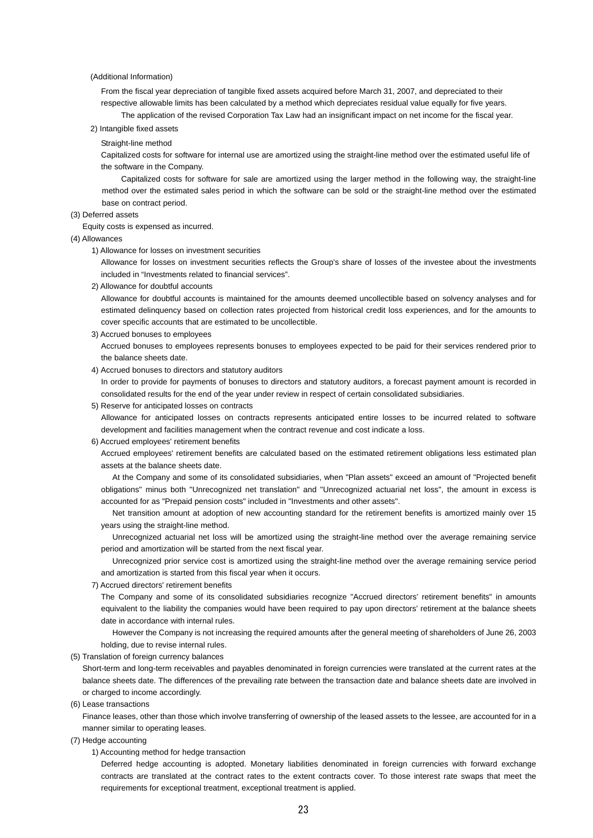### (Additional Information)

From the fiscal year depreciation of tangible fixed assets acquired before March 31, 2007, and depreciated to their respective allowable limits has been calculated by a method which depreciates residual value equally for five years.

The application of the revised Corporation Tax Law had an insignificant impact on net income for the fiscal year.

2) Intangible fixed assets

Straight-line method

Capitalized costs for software for internal use are amortized using the straight-line method over the estimated useful life of the software in the Company.

Capitalized costs for software for sale are amortized using the larger method in the following way, the straight-line method over the estimated sales period in which the software can be sold or the straight-line method over the estimated base on contract period.

### (3) Deferred assets

Equity costs is expensed as incurred.

(4) Allowances

1) Allowance for losses on investment securities

Allowance for losses on investment securities reflects the Group's share of losses of the investee about the investments included in "Investments related to financial services".

2) Allowance for doubtful accounts

Allowance for doubtful accounts is maintained for the amounts deemed uncollectible based on solvency analyses and for estimated delinquency based on collection rates projected from historical credit loss experiences, and for the amounts to cover specific accounts that are estimated to be uncollectible.

3) Accrued bonuses to employees

Accrued bonuses to employees represents bonuses to employees expected to be paid for their services rendered prior to the balance sheets date.

4) Accrued bonuses to directors and statutory auditors

In order to provide for payments of bonuses to directors and statutory auditors, a forecast payment amount is recorded in consolidated results for the end of the year under review in respect of certain consolidated subsidiaries.

5) Reserve for anticipated losses on contracts

Allowance for anticipated losses on contracts represents anticipated entire losses to be incurred related to software development and facilities management when the contract revenue and cost indicate a loss.

### 6) Accrued employees' retirement benefits

Accrued employees' retirement benefits are calculated based on the estimated retirement obligations less estimated plan assets at the balance sheets date.

At the Company and some of its consolidated subsidiaries, when "Plan assets" exceed an amount of "Projected benefit obligations" minus both "Unrecognized net translation" and "Unrecognized actuarial net loss", the amount in excess is accounted for as "Prepaid pension costs" included in "Investments and other assets".

Net transition amount at adoption of new accounting standard for the retirement benefits is amortized mainly over 15 years using the straight-line method.

Unrecognized actuarial net loss will be amortized using the straight-line method over the average remaining service period and amortization will be started from the next fiscal year.

Unrecognized prior service cost is amortized using the straight-line method over the average remaining service period and amortization is started from this fiscal year when it occurs.

### 7) Accrued directors' retirement benefits

The Company and some of its consolidated subsidiaries recognize "Accrued directors' retirement benefits" in amounts equivalent to the liability the companies would have been required to pay upon directors' retirement at the balance sheets date in accordance with internal rules.

However the Company is not increasing the required amounts after the general meeting of shareholders of June 26, 2003 holding, due to revise internal rules.

(5) Translation of foreign currency balances

Short-term and long-term receivables and payables denominated in foreign currencies were translated at the current rates at the balance sheets date. The differences of the prevailing rate between the transaction date and balance sheets date are involved in or charged to income accordingly.

(6) Lease transactions

Finance leases, other than those which involve transferring of ownership of the leased assets to the lessee, are accounted for in a manner similar to operating leases.

- (7) Hedge accounting
	- 1) Accounting method for hedge transaction

Deferred hedge accounting is adopted. Monetary liabilities denominated in foreign currencies with forward exchange contracts are translated at the contract rates to the extent contracts cover. To those interest rate swaps that meet the requirements for exceptional treatment, exceptional treatment is applied.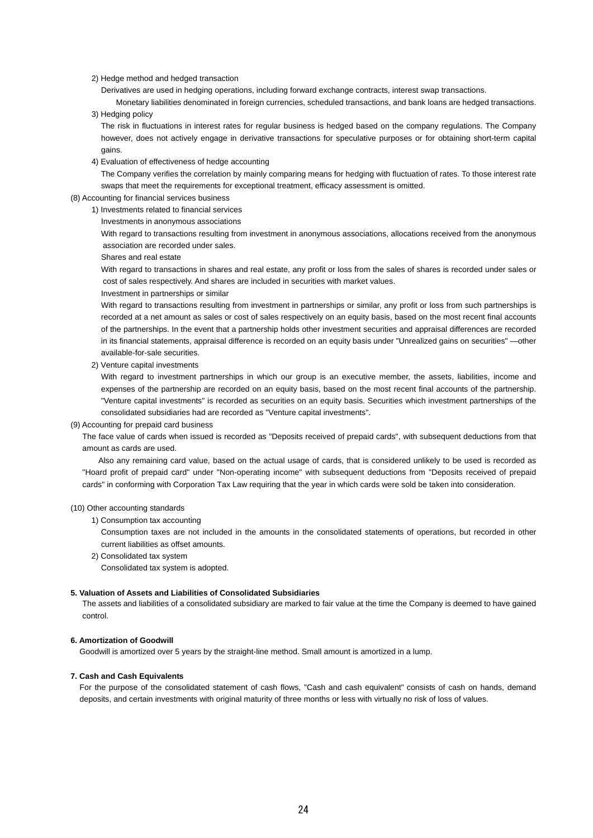### 2) Hedge method and hedged transaction

Derivatives are used in hedging operations, including forward exchange contracts, interest swap transactions.

Monetary liabilities denominated in foreign currencies, scheduled transactions, and bank loans are hedged transactions. 3) Hedging policy

The risk in fluctuations in interest rates for regular business is hedged based on the company regulations. The Company however, does not actively engage in derivative transactions for speculative purposes or for obtaining short-term capital gains.

4) Evaluation of effectiveness of hedge accounting

The Company verifies the correlation by mainly comparing means for hedging with fluctuation of rates. To those interest rate swaps that meet the requirements for exceptional treatment, efficacy assessment is omitted.

### (8) Accounting for financial services business

- 1) Investments related to financial services
	- Investments in anonymous associations

With regard to transactions resulting from investment in anonymous associations, allocations received from the anonymous association are recorded under sales.

Shares and real estate

With regard to transactions in shares and real estate, any profit or loss from the sales of shares is recorded under sales or cost of sales respectively. And shares are included in securities with market values.

Investment in partnerships or similar

With regard to transactions resulting from investment in partnerships or similar, any profit or loss from such partnerships is recorded at a net amount as sales or cost of sales respectively on an equity basis, based on the most recent final accounts of the partnerships. In the event that a partnership holds other investment securities and appraisal differences are recorded in its financial statements, appraisal difference is recorded on an equity basis under "Unrealized gains on securities" —other available-for-sale securities.

2) Venture capital investments

With regard to investment partnerships in which our group is an executive member, the assets, liabilities, income and expenses of the partnership are recorded on an equity basis, based on the most recent final accounts of the partnership. "Venture capital investments" is recorded as securities on an equity basis. Securities which investment partnerships of the consolidated subsidiaries had are recorded as "Venture capital investments".

(9) Accounting for prepaid card business

The face value of cards when issued is recorded as "Deposits received of prepaid cards", with subsequent deductions from that amount as cards are used.

Also any remaining card value, based on the actual usage of cards, that is considered unlikely to be used is recorded as "Hoard profit of prepaid card" under "Non-operating income" with subsequent deductions from "Deposits received of prepaid cards" in conforming with Corporation Tax Law requiring that the year in which cards were sold be taken into consideration.

#### (10) Other accounting standards

1) Consumption tax accounting

Consumption taxes are not included in the amounts in the consolidated statements of operations, but recorded in other current liabilities as offset amounts.

2) Consolidated tax system

Consolidated tax system is adopted.

### **5. Valuation of Assets and Liabilities of Consolidated Subsidiaries**

The assets and liabilities of a consolidated subsidiary are marked to fair value at the time the Company is deemed to have gained control.

### **6. Amortization of Goodwill**

Goodwill is amortized over 5 years by the straight-line method. Small amount is amortized in a lump.

### **7. Cash and Cash Equivalents**

For the purpose of the consolidated statement of cash flows, "Cash and cash equivalent" consists of cash on hands, demand deposits, and certain investments with original maturity of three months or less with virtually no risk of loss of values.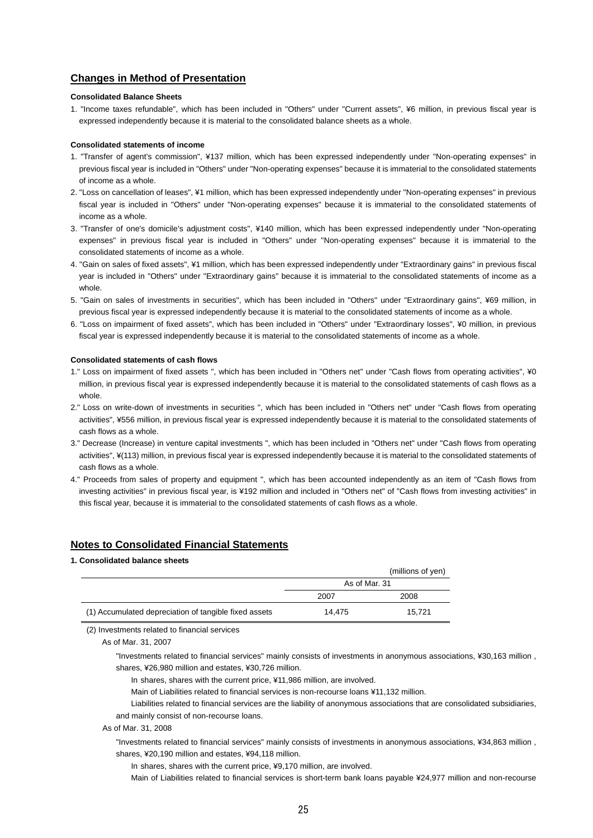## **Changes in Method of Presentation**

### **Consolidated Balance Sheets**

1. "Income taxes refundable", which has been included in "Others" under "Current assets", ¥6 million, in previous fiscal year is expressed independently because it is material to the consolidated balance sheets as a whole.

### **Consolidated statements of income**

- 1. "Transfer of agent's commission", ¥137 million, which has been expressed independently under "Non-operating expenses" in previous fiscal year is included in "Others" under "Non-operating expenses" because it is immaterial to the consolidated statements of income as a whole.
- 2. "Loss on cancellation of leases", ¥1 million, which has been expressed independently under "Non-operating expenses" in previous fiscal year is included in "Others" under "Non-operating expenses" because it is immaterial to the consolidated statements of income as a whole.
- 3. "Transfer of one's domicile's adjustment costs", ¥140 million, which has been expressed independently under "Non-operating expenses" in previous fiscal year is included in "Others" under "Non-operating expenses" because it is immaterial to the consolidated statements of income as a whole.
- 4. "Gain on sales of fixed assets", ¥1 million, which has been expressed independently under "Extraordinary gains" in previous fiscal year is included in "Others" under "Extraordinary gains" because it is immaterial to the consolidated statements of income as a whole.
- 5. "Gain on sales of investments in securities", which has been included in "Others" under "Extraordinary gains", ¥69 million, in previous fiscal year is expressed independently because it is material to the consolidated statements of income as a whole.
- 6. "Loss on impairment of fixed assets", which has been included in "Others" under "Extraordinary losses", ¥0 million, in previous fiscal year is expressed independently because it is material to the consolidated statements of income as a whole.

### **Consolidated statements of cash flows**

- 1." Loss on impairment of fixed assets ", which has been included in "Others net" under "Cash flows from operating activities", ¥0 million, in previous fiscal year is expressed independently because it is material to the consolidated statements of cash flows as a whole.
- 2." Loss on write-down of investments in securities ", which has been included in "Others net" under "Cash flows from operating activities", ¥556 million, in previous fiscal year is expressed independently because it is material to the consolidated statements of cash flows as a whole.
- 3." Decrease (Increase) in venture capital investments ", which has been included in "Others net" under "Cash flows from operating activities", ¥(113) million, in previous fiscal year is expressed independently because it is material to the consolidated statements of cash flows as a whole.
- 4." Proceeds from sales of property and equipment ", which has been accounted independently as an item of "Cash flows from investing activities" in previous fiscal year, is ¥192 million and included in "Others net" of "Cash flows from investing activities" in this fiscal year, because it is immaterial to the consolidated statements of cash flows as a whole.

## **Notes to Consolidated Financial Statements**

### **1. Consolidated balance sheets**

|                                                       |               | (millions of yen) |
|-------------------------------------------------------|---------------|-------------------|
|                                                       | As of Mar. 31 |                   |
|                                                       | 2007          | 2008              |
| (1) Accumulated depreciation of tangible fixed assets | 14.475        | 15.721            |

(2) Investments related to financial services

As of Mar. 31, 2007

"Investments related to financial services" mainly consists of investments in anonymous associations, ¥30,163 million , shares, ¥26,980 million and estates, ¥30,726 million.

In shares, shares with the current price, ¥11,986 million, are involved.

Main of Liabilities related to financial services is non-recourse loans ¥11,132 million.

Liabilities related to financial services are the liability of anonymous associations that are consolidated subsidiaries, and mainly consist of non-recourse loans.

As of Mar. 31, 2008

"Investments related to financial services" mainly consists of investments in anonymous associations, ¥34,863 million , shares, ¥20,190 million and estates, ¥94,118 million.

In shares, shares with the current price, ¥9,170 million, are involved.

Main of Liabilities related to financial services is short-term bank loans payable ¥24,977 million and non-recourse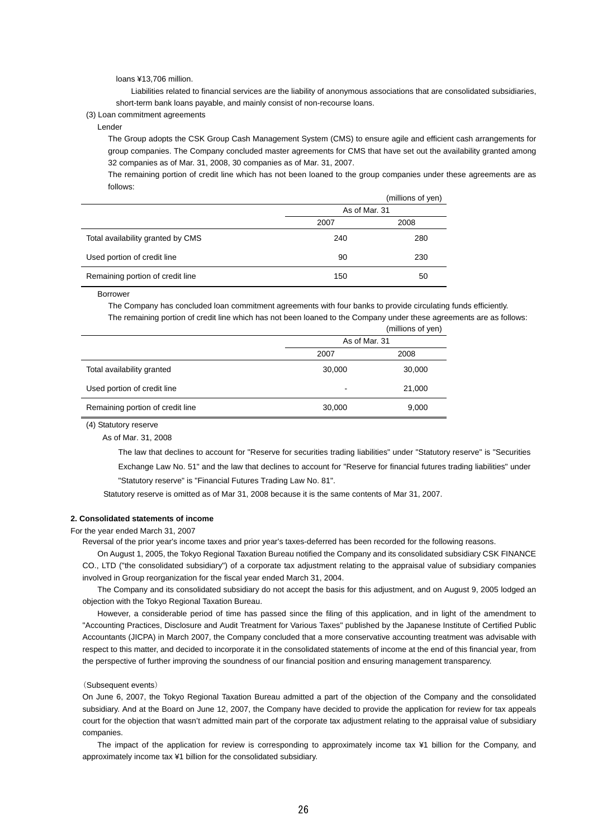loans ¥13,706 million.

Liabilities related to financial services are the liability of anonymous associations that are consolidated subsidiaries, short-term bank loans payable, and mainly consist of non-recourse loans.

### (3) Loan commitment agreements

Lender

The Group adopts the CSK Group Cash Management System (CMS) to ensure agile and efficient cash arrangements for group companies. The Company concluded master agreements for CMS that have set out the availability granted among 32 companies as of Mar. 31, 2008, 30 companies as of Mar. 31, 2007.

The remaining portion of credit line which has not been loaned to the group companies under these agreements are as follows:

|                                   | (millions of yen) |      |  |
|-----------------------------------|-------------------|------|--|
|                                   | As of Mar. 31     |      |  |
|                                   | 2007              | 2008 |  |
| Total availability granted by CMS | 240               | 280  |  |
| Used portion of credit line       | 90                | 230  |  |
| Remaining portion of credit line  | 150               | 50   |  |

Borrower

The Company has concluded loan commitment agreements with four banks to provide circulating funds efficiently.

The remaining portion of credit line which has not been loaned to the Company under these agreements are as follows:

|                                  |                          | (millions of yen) |  |
|----------------------------------|--------------------------|-------------------|--|
|                                  | As of Mar. 31            |                   |  |
|                                  | 2007                     | 2008              |  |
| Total availability granted       | 30,000                   | 30,000            |  |
| Used portion of credit line      | $\overline{\phantom{a}}$ | 21,000            |  |
| Remaining portion of credit line | 30,000                   | 9,000             |  |

(4) Statutory reserve

As of Mar. 31, 2008

The law that declines to account for "Reserve for securities trading liabilities" under "Statutory reserve" is "Securities Exchange Law No. 51" and the law that declines to account for "Reserve for financial futures trading liabilities" under "Statutory reserve" is "Financial Futures Trading Law No. 81".

Statutory reserve is omitted as of Mar 31, 2008 because it is the same contents of Mar 31, 2007.

### **2. Consolidated statements of income**

For the year ended March 31, 2007

Reversal of the prior year's income taxes and prior year's taxes-deferred has been recorded for the following reasons.

On August 1, 2005, the Tokyo Regional Taxation Bureau notified the Company and its consolidated subsidiary CSK FINANCE CO., LTD ("the consolidated subsidiary") of a corporate tax adjustment relating to the appraisal value of subsidiary companies involved in Group reorganization for the fiscal year ended March 31, 2004.

The Company and its consolidated subsidiary do not accept the basis for this adjustment, and on August 9, 2005 lodged an objection with the Tokyo Regional Taxation Bureau.

However, a considerable period of time has passed since the filing of this application, and in light of the amendment to "Accounting Practices, Disclosure and Audit Treatment for Various Taxes" published by the Japanese Institute of Certified Public Accountants (JICPA) in March 2007, the Company concluded that a more conservative accounting treatment was advisable with respect to this matter, and decided to incorporate it in the consolidated statements of income at the end of this financial year, from the perspective of further improving the soundness of our financial position and ensuring management transparency.

### (Subsequent events)

On June 6, 2007, the Tokyo Regional Taxation Bureau admitted a part of the objection of the Company and the consolidated subsidiary. And at the Board on June 12, 2007, the Company have decided to provide the application for review for tax appeals court for the objection that wasn't admitted main part of the corporate tax adjustment relating to the appraisal value of subsidiary companies.

The impact of the application for review is corresponding to approximately income tax ¥1 billion for the Company, and approximately income tax ¥1 billion for the consolidated subsidiary.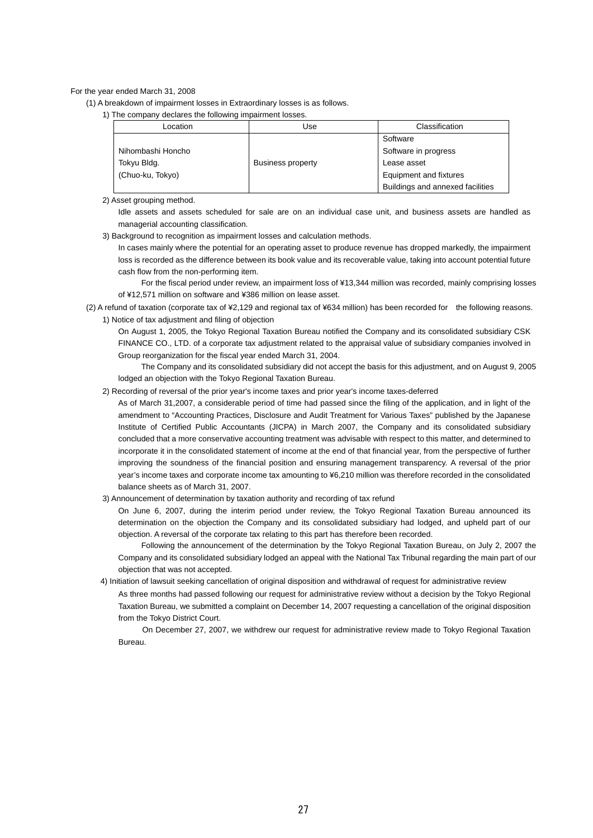### For the year ended March 31, 2008

(1) A breakdown of impairment losses in Extraordinary losses is as follows.

1) The company declares the following impairment losses.

| Location          | Use                      | Classification                   |
|-------------------|--------------------------|----------------------------------|
|                   |                          | Software                         |
| Nihombashi Honcho |                          | Software in progress             |
| Tokyu Bldg.       | <b>Business property</b> | Lease asset                      |
| (Chuo-ku, Tokyo)  |                          | Equipment and fixtures           |
|                   |                          | Buildings and annexed facilities |

### 2) Asset grouping method.

Idle assets and assets scheduled for sale are on an individual case unit, and business assets are handled as managerial accounting classification.

3) Background to recognition as impairment losses and calculation methods.

In cases mainly where the potential for an operating asset to produce revenue has dropped markedly, the impairment loss is recorded as the difference between its book value and its recoverable value, taking into account potential future cash flow from the non-performing item.

For the fiscal period under review, an impairment loss of ¥13,344 million was recorded, mainly comprising losses of ¥12,571 million on software and ¥386 million on lease asset.

(2) A refund of taxation (corporate tax of ¥2,129 and regional tax of ¥634 million) has been recorded for the following reasons. 1) Notice of tax adjustment and filing of objection

On August 1, 2005, the Tokyo Regional Taxation Bureau notified the Company and its consolidated subsidiary CSK FINANCE CO., LTD. of a corporate tax adjustment related to the appraisal value of subsidiary companies involved in Group reorganization for the fiscal year ended March 31, 2004.

The Company and its consolidated subsidiary did not accept the basis for this adjustment, and on August 9, 2005 lodged an objection with the Tokyo Regional Taxation Bureau.

2) Recording of reversal of the prior year's income taxes and prior year's income taxes-deferred

As of March 31,2007, a considerable period of time had passed since the filing of the application, and in light of the amendment to "Accounting Practices, Disclosure and Audit Treatment for Various Taxes" published by the Japanese Institute of Certified Public Accountants (JICPA) in March 2007, the Company and its consolidated subsidiary concluded that a more conservative accounting treatment was advisable with respect to this matter, and determined to incorporate it in the consolidated statement of income at the end of that financial year, from the perspective of further improving the soundness of the financial position and ensuring management transparency. A reversal of the prior year's income taxes and corporate income tax amounting to ¥6,210 million was therefore recorded in the consolidated balance sheets as of March 31, 2007.

3) Announcement of determination by taxation authority and recording of tax refund

On June 6, 2007, during the interim period under review, the Tokyo Regional Taxation Bureau announced its determination on the objection the Company and its consolidated subsidiary had lodged, and upheld part of our objection. A reversal of the corporate tax relating to this part has therefore been recorded.

Following the announcement of the determination by the Tokyo Regional Taxation Bureau, on July 2, 2007 the Company and its consolidated subsidiary lodged an appeal with the National Tax Tribunal regarding the main part of our objection that was not accepted.

4) Initiation of lawsuit seeking cancellation of original disposition and withdrawal of request for administrative review

As three months had passed following our request for administrative review without a decision by the Tokyo Regional Taxation Bureau, we submitted a complaint on December 14, 2007 requesting a cancellation of the original disposition from the Tokyo District Court.

On December 27, 2007, we withdrew our request for administrative review made to Tokyo Regional Taxation Bureau.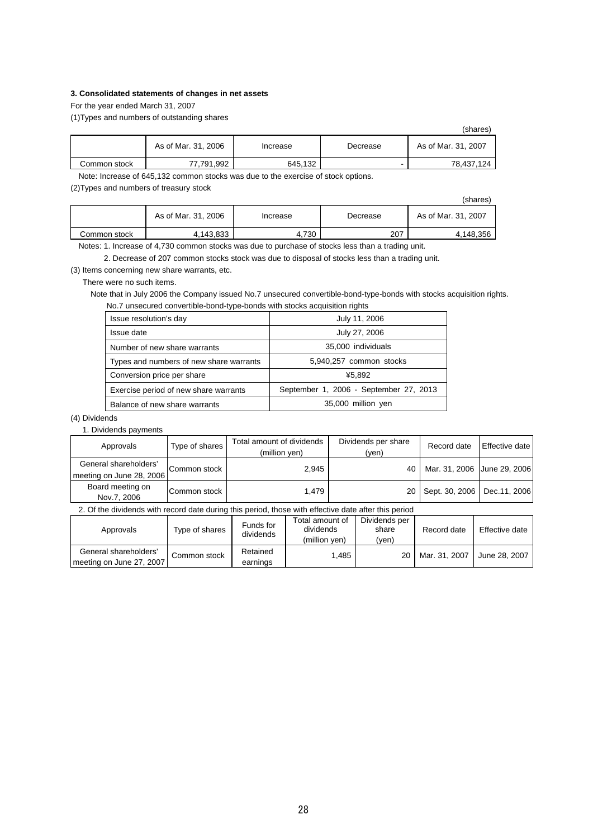### **3. Consolidated statements of changes in net assets**

For the year ended March 31, 2007

(1)Types and numbers of outstanding shares

|              |                     |          |          | (shares)            |
|--------------|---------------------|----------|----------|---------------------|
|              | As of Mar. 31, 2006 | Increase | Decrease | As of Mar. 31, 2007 |
| Common stock | 77.791.992          | 645,132  |          | 78.437.124          |

Note: Increase of 645,132 common stocks was due to the exercise of stock options.

(2)Types and numbers of treasury stock

|              |                     |          |          | (shares)            |
|--------------|---------------------|----------|----------|---------------------|
|              | As of Mar. 31, 2006 | Increase | Decrease | As of Mar. 31, 2007 |
| Common stock | 4.143.833           | 4.730    | 207      | 4,148,356           |

Notes: 1. Increase of 4,730 common stocks was due to purchase of stocks less than a trading unit.

2. Decrease of 207 common stocks stock was due to disposal of stocks less than a trading unit.

(3) Items concerning new share warrants, etc.

There were no such items.

Note that in July 2006 the Company issued No.7 unsecured convertible-bond-type-bonds with stocks acquisition rights. No.7 unsecured convertible-bond-type-bonds with stocks acquisition rights

| Issue resolution's day                  | July 11, 2006                          |
|-----------------------------------------|----------------------------------------|
| Issue date                              | July 27, 2006                          |
| Number of new share warrants            | 35,000 individuals                     |
| Types and numbers of new share warrants | 5,940,257 common stocks                |
| Conversion price per share              | ¥5.892                                 |
| Exercise period of new share warrants   | September 1, 2006 - September 27, 2013 |
| Balance of new share warrants           | 35,000 million yen                     |

### (4) Dividends

1. Dividends payments

| Approvals                                         | Type of shares | Total amount of dividends<br>(million yen) | Dividends per share<br>(ven) | Record date                 | <b>Effective date</b> |
|---------------------------------------------------|----------------|--------------------------------------------|------------------------------|-----------------------------|-----------------------|
| General shareholders'<br>meeting on June 28, 2006 | Common stock   | 2.945                                      | 40                           | Mar. 31, 2006 June 29, 2006 |                       |
| Board meeting on<br>Nov.7, 2006                   | lCommon stock  | 1.479                                      |                              | 20   Sept. 30, 2006         | Dec.11, 2006          |

2. Of the dividends with record date during this period, those with effective date after this period

| Approvals                                         | Type of shares | Funds for<br>dividends | Total amount of<br>dividends<br>(million ven) | Dividends per<br>share<br>(ven) | Record date   | Effective date |
|---------------------------------------------------|----------------|------------------------|-----------------------------------------------|---------------------------------|---------------|----------------|
| General shareholders'<br>meeting on June 27, 2007 | Common stock   | Retained<br>earnings   | .485                                          | 20                              | Mar. 31, 2007 | June 28, 2007  |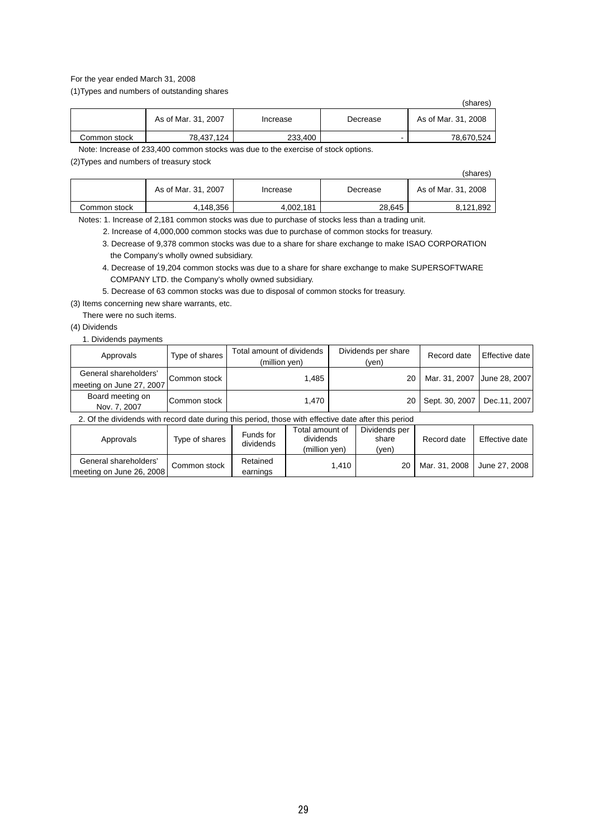### For the year ended March 31, 2008

(1)Types and numbers of outstanding shares

|              |                     |          |          | (shares)            |
|--------------|---------------------|----------|----------|---------------------|
|              | As of Mar. 31, 2007 | Increase | Decrease | As of Mar. 31, 2008 |
| Common stock | 78.437.124          | 233,400  | -        | 78,670,524          |

Note: Increase of 233,400 common stocks was due to the exercise of stock options.

(2)Types and numbers of treasury stock

|              |                     |           |          | (shares)            |
|--------------|---------------------|-----------|----------|---------------------|
|              | As of Mar. 31, 2007 | Increase  | Decrease | As of Mar. 31, 2008 |
| Common stock | 4,148,356           | 4.002.181 | 28.645   | 8.121.892           |

Notes: 1. Increase of 2,181 common stocks was due to purchase of stocks less than a trading unit.

2. Increase of 4,000,000 common stocks was due to purchase of common stocks for treasury.

- 3. Decrease of 9,378 common stocks was due to a share for share exchange to make ISAO CORPORATION the Company's wholly owned subsidiary.
- 4. Decrease of 19,204 common stocks was due to a share for share exchange to make SUPERSOFTWARE COMPANY LTD. the Company's wholly owned subsidiary.
- 5. Decrease of 63 common stocks was due to disposal of common stocks for treasury.

(3) Items concerning new share warrants, etc.

There were no such items.

(4) Dividends

1. Dividends payments

| Approvals                                         | Type of shares | Total amount of dividends<br>(million yen) | Dividends per share<br>(ven) | Record date                 | Effective date |
|---------------------------------------------------|----------------|--------------------------------------------|------------------------------|-----------------------------|----------------|
| General shareholders'<br>meeting on June 27, 2007 | Common stock   | 1.485                                      | 20                           | Mar. 31, 2007 June 28, 2007 |                |
| Board meeting on<br>Nov. 7, 2007                  | Common stock   | 1.470                                      | 20                           | Sept. 30, 2007              | Dec.11, 2007   |

2. Of the dividends with record date during this period, those with effective date after this period

| Approvals                | Type of shares | Funds for<br>dividends | Total amount of<br>dividends<br>(million ven) | Dividends per<br>share<br>(yen) | Record date   | Effective date |
|--------------------------|----------------|------------------------|-----------------------------------------------|---------------------------------|---------------|----------------|
| General shareholders'    | Common stock   | Retained               | 1.410                                         | 20                              | Mar. 31, 2008 | June 27, 2008  |
| meeting on June 26, 2008 |                | earnings               |                                               |                                 |               |                |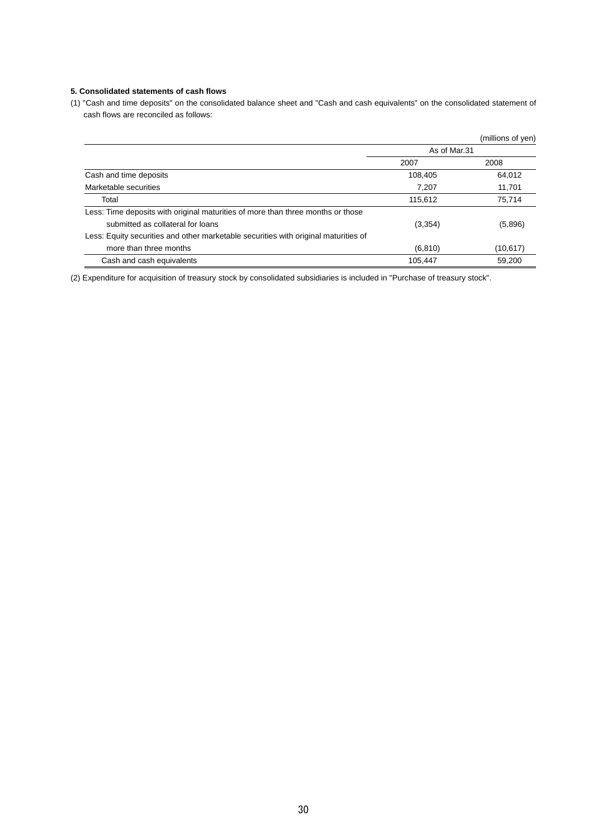### **5. Consolidated statements of cash flows**

(1) "Cash and time deposits" on the consolidated balance sheet and "Cash and cash equivalents" on the consolidated statement of cash flows are reconciled as follows:

|                                                                                     |              | (millions of yen) |
|-------------------------------------------------------------------------------------|--------------|-------------------|
|                                                                                     | As of Mar.31 |                   |
|                                                                                     | 2007         | 2008              |
| Cash and time deposits                                                              | 108,405      | 64,012            |
| Marketable securities                                                               | 7,207        | 11,701            |
| Total                                                                               | 115,612      | 75,714            |
| Less: Time deposits with original maturities of more than three months or those     |              |                   |
| submitted as collateral for loans                                                   | (3, 354)     | (5,896)           |
| Less: Equity securities and other marketable securities with original maturities of |              |                   |
| more than three months                                                              | (6, 810)     | (10, 617)         |
| Cash and cash equivalents                                                           | 105.447      | 59.200            |

(2) Expenditure for acquisition of treasury stock by consolidated subsidiaries is included in "Purchase of treasury stock".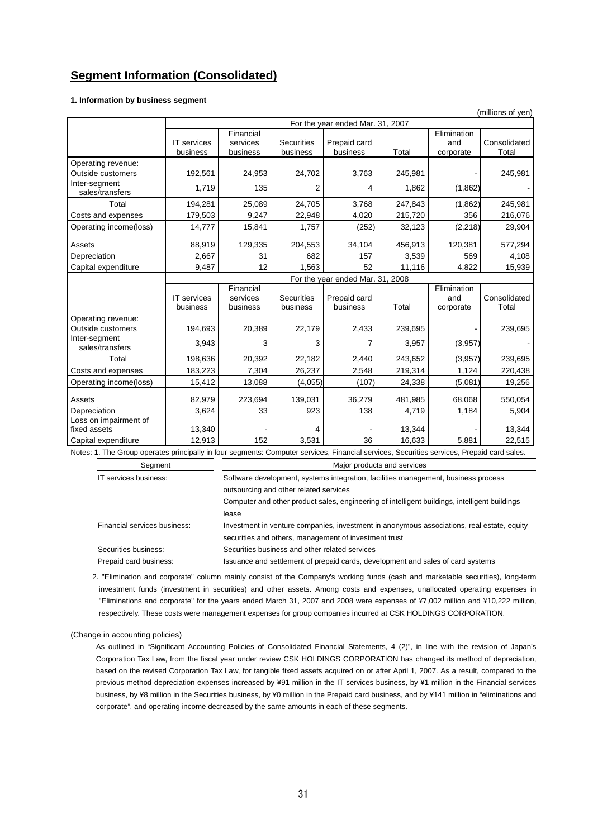## **Segment Information (Consolidated)**

### **1. Information by business segment**

|                                                                                                                                            | (millions of yen)                |                                   |                               |                                  |         |                                 |                       |
|--------------------------------------------------------------------------------------------------------------------------------------------|----------------------------------|-----------------------------------|-------------------------------|----------------------------------|---------|---------------------------------|-----------------------|
|                                                                                                                                            |                                  |                                   |                               | For the year ended Mar. 31, 2007 |         |                                 |                       |
|                                                                                                                                            | <b>IT</b> services<br>business   | Financial<br>services<br>business | <b>Securities</b><br>business | Prepaid card<br>business         | Total   | Elimination<br>and<br>corporate | Consolidated<br>Total |
| Operating revenue:                                                                                                                         |                                  |                                   |                               |                                  |         |                                 |                       |
| Outside customers                                                                                                                          | 192,561                          | 24,953                            | 24,702                        | 3,763                            | 245,981 |                                 | 245,981               |
| Inter-segment<br>sales/transfers                                                                                                           | 1,719                            | 135                               | 2                             | 4                                | 1,862   | (1,862)                         |                       |
| Total                                                                                                                                      | 194,281                          | 25,089                            | 24,705                        | 3,768                            | 247,843 | (1,862)                         | 245,981               |
| Costs and expenses                                                                                                                         | 179,503                          | 9,247                             | 22,948                        | 4,020                            | 215,720 | 356                             | 216,076               |
| Operating income(loss)                                                                                                                     | 14,777                           | 15,841                            | 1,757                         | (252)                            | 32,123  | (2, 218)                        | 29,904                |
| Assets                                                                                                                                     | 88,919                           | 129,335                           | 204,553                       | 34,104                           | 456,913 | 120,381                         | 577,294               |
| Depreciation                                                                                                                               | 2,667                            | 31                                | 682                           | 157                              | 3,539   | 569                             | 4,108                 |
| Capital expenditure                                                                                                                        | 9,487                            | 12                                | 1.563                         | 52                               | 11,116  | 4,822                           | 15,939                |
|                                                                                                                                            | For the year ended Mar. 31, 2008 |                                   |                               |                                  |         |                                 |                       |
|                                                                                                                                            | <b>IT</b> services<br>business   | Financial<br>services<br>business | <b>Securities</b><br>business | Prepaid card<br>business         | Total   | Elimination<br>and<br>corporate | Consolidated<br>Total |
| Operating revenue:                                                                                                                         |                                  |                                   |                               |                                  |         |                                 |                       |
| Outside customers                                                                                                                          | 194,693                          | 20,389                            | 22,179                        | 2,433                            | 239,695 |                                 | 239,695               |
| Inter-segment<br>sales/transfers                                                                                                           | 3,943                            | 3                                 | 3                             | 7                                | 3,957   | (3,957)                         |                       |
| Total                                                                                                                                      | 198,636                          | 20,392                            | 22,182                        | 2,440                            | 243,652 | (3,957)                         | 239,695               |
| Costs and expenses                                                                                                                         | 183,223                          | 7,304                             | 26,237                        | 2,548                            | 219,314 | 1,124                           | 220,438               |
| Operating income(loss)                                                                                                                     | 15,412                           | 13,088                            | (4,055)                       | (107)                            | 24,338  | (5,081)                         | 19,256                |
| Assets                                                                                                                                     | 82,979                           | 223,694                           | 139,031                       | 36,279                           | 481,985 | 68.068                          | 550,054               |
| Depreciation<br>Loss on impairment of                                                                                                      | 3,624                            | 33                                | 923                           | 138                              | 4,719   | 1,184                           | 5,904                 |
| fixed assets                                                                                                                               | 13,340                           |                                   | 4                             |                                  | 13,344  |                                 | 13,344                |
| Capital expenditure                                                                                                                        | 12,913                           | 152                               | 3,531                         | 36                               | 16,633  | 5.881                           | 22,515                |
| Notes: 1. The Group operates principally in four segments: Computer services, Financial services, Securities services, Prepaid card sales. |                                  |                                   |                               |                                  |         |                                 |                       |
| Segment                                                                                                                                    | Major products and services      |                                   |                               |                                  |         |                                 |                       |

IT services business: Software development, systems integration, facilities management, business process outsourcing and other related services

> Computer and other product sales, engineering of intelligent buildings, intelligent buildings lease

| Financial services business: | Investment in venture companies, investment in anonymous associations, real estate, equity |
|------------------------------|--------------------------------------------------------------------------------------------|
|                              | securities and others, management of investment trust                                      |
| Securities business:         | Securities business and other related services                                             |
| Prepaid card business:       | Issuance and settlement of prepaid cards, development and sales of card systems            |

2. "Elimination and corporate" column mainly consist of the Company's working funds (cash and marketable securities), long-term investment funds (investment in securities) and other assets. Among costs and expenses, unallocated operating expenses in "Eliminations and corporate" for the years ended March 31, 2007 and 2008 were expenses of ¥7,002 million and ¥10,222 million, respectively. These costs were management expenses for group companies incurred at CSK HOLDINGS CORPORATION.

### (Change in accounting policies)

As outlined in "Significant Accounting Policies of Consolidated Financial Statements, 4 (2)", in line with the revision of Japan's Corporation Tax Law, from the fiscal year under review CSK HOLDINGS CORPORATION has changed its method of depreciation, based on the revised Corporation Tax Law, for tangible fixed assets acquired on or after April 1, 2007. As a result, compared to the previous method depreciation expenses increased by ¥91 million in the IT services business, by ¥1 million in the Financial services business, by ¥8 million in the Securities business, by ¥0 million in the Prepaid card business, and by ¥141 million in "eliminations and corporate", and operating income decreased by the same amounts in each of these segments.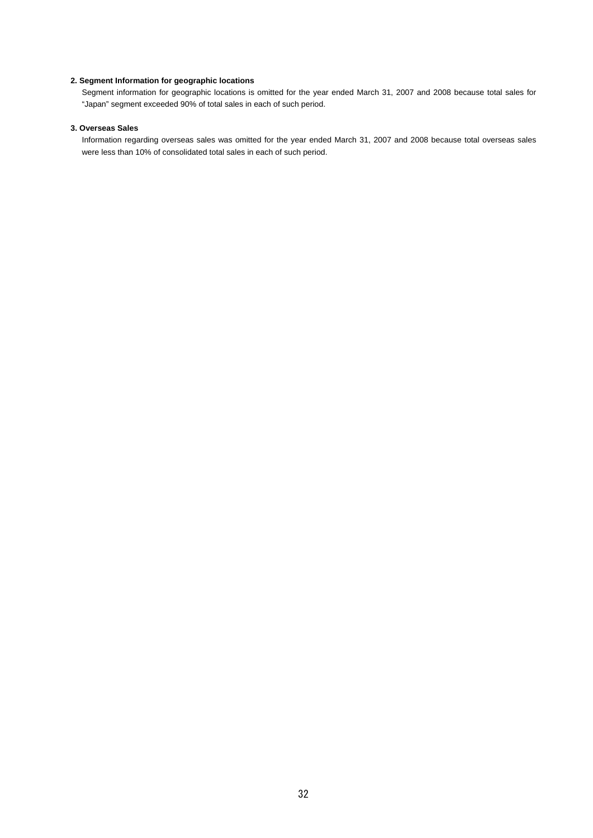### **2. Segment Information for geographic locations**

Segment information for geographic locations is omitted for the year ended March 31, 2007 and 2008 because total sales for "Japan" segment exceeded 90% of total sales in each of such period.

## **3. Overseas Sales**

Information regarding overseas sales was omitted for the year ended March 31, 2007 and 2008 because total overseas sales were less than 10% of consolidated total sales in each of such period.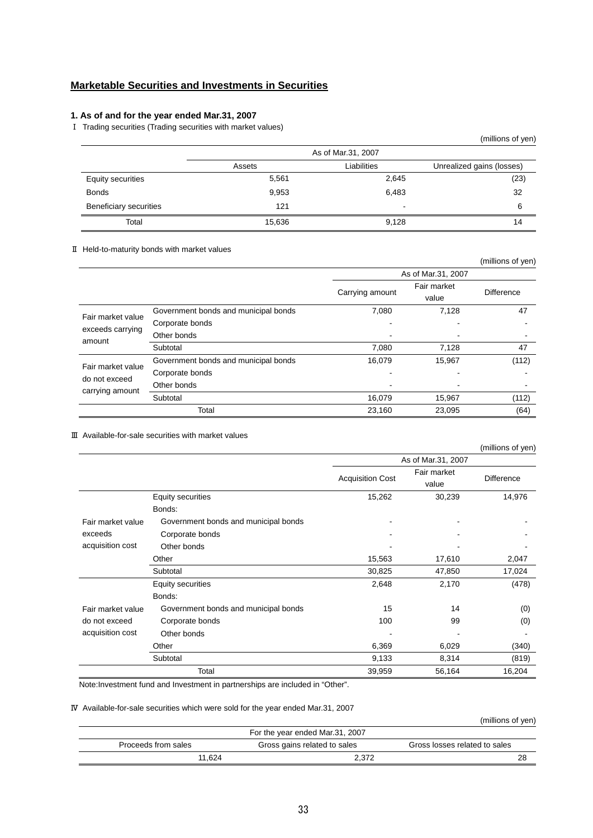## **Marketable Securities and Investments in Securities**

## **1. As of and for the year ended Mar.31, 2007**

Ⅰ Trading securities (Trading securities with market values)

|                          |        |                    | (millions of yen)         |
|--------------------------|--------|--------------------|---------------------------|
|                          |        | As of Mar.31, 2007 |                           |
|                          | Assets | Liabilities        | Unrealized gains (losses) |
| <b>Equity securities</b> | 5,561  | 2,645              | (23)                      |
| <b>Bonds</b>             | 9,953  | 6,483              | 32                        |
| Beneficiary securities   | 121    | -                  | 6                         |
| Total                    | 15,636 | 9,128              | 14                        |

### Ⅱ Held-to-maturity bonds with market values

|                                  |                                      |                 |                    | (millions of yen) |
|----------------------------------|--------------------------------------|-----------------|--------------------|-------------------|
|                                  |                                      |                 | As of Mar.31, 2007 |                   |
|                                  |                                      |                 | Fair market        |                   |
|                                  |                                      | Carrying amount | value              | <b>Difference</b> |
|                                  | Government bonds and municipal bonds | 7,080           | 7,128              | 47                |
| Fair market value                | Corporate bonds                      |                 |                    |                   |
| exceeds carrying<br>amount       | Other bonds                          |                 |                    |                   |
|                                  | Subtotal                             | 7,080           | 7,128              | 47                |
| Fair market value                | Government bonds and municipal bonds | 16,079          | 15,967             | (112)             |
| do not exceed<br>carrying amount | Corporate bonds                      |                 |                    |                   |
|                                  | Other bonds                          |                 |                    |                   |
|                                  | Subtotal                             | 16,079          | 15,967             | (112)             |
|                                  | Total                                | 23,160          | 23,095             | (64)              |

### Ⅲ Available-for-sale securities with market values

|                   |                                      |                         |                      | (millions of yen) |
|-------------------|--------------------------------------|-------------------------|----------------------|-------------------|
|                   |                                      |                         | As of Mar.31, 2007   |                   |
|                   |                                      | <b>Acquisition Cost</b> | Fair market<br>value | <b>Difference</b> |
|                   | <b>Equity securities</b>             | 15,262                  | 30,239               | 14,976            |
|                   | Bonds:                               |                         |                      |                   |
| Fair market value | Government bonds and municipal bonds |                         |                      |                   |
| exceeds           | Corporate bonds                      |                         |                      |                   |
| acquisition cost  | Other bonds                          |                         |                      |                   |
|                   | Other                                | 15,563                  | 17,610               | 2,047             |
|                   | Subtotal                             | 30,825                  | 47,850               | 17,024            |
|                   | Equity securities                    | 2,648                   | 2,170                | (478)             |
|                   | Bonds:                               |                         |                      |                   |
| Fair market value | Government bonds and municipal bonds | 15                      | 14                   | (0)               |
| do not exceed     | Corporate bonds                      | 100                     | 99                   | (0)               |
| acquisition cost  | Other bonds                          |                         |                      |                   |
|                   | Other                                | 6,369                   | 6,029                | (340)             |
|                   | Subtotal                             | 9,133                   | 8,314                | (819)             |
|                   | Total                                | 39,959                  | 56,164               | 16,204            |

Note:Investment fund and Investment in partnerships are included in "Other".

### Ⅳ Available-for-sale securities which were sold for the year ended Mar.31, 2007

|                     |                                 | (millions of yen)             |
|---------------------|---------------------------------|-------------------------------|
|                     | For the year ended Mar.31, 2007 |                               |
| Proceeds from sales | Gross gains related to sales    | Gross losses related to sales |
| 11.624              | 2.372                           | 28                            |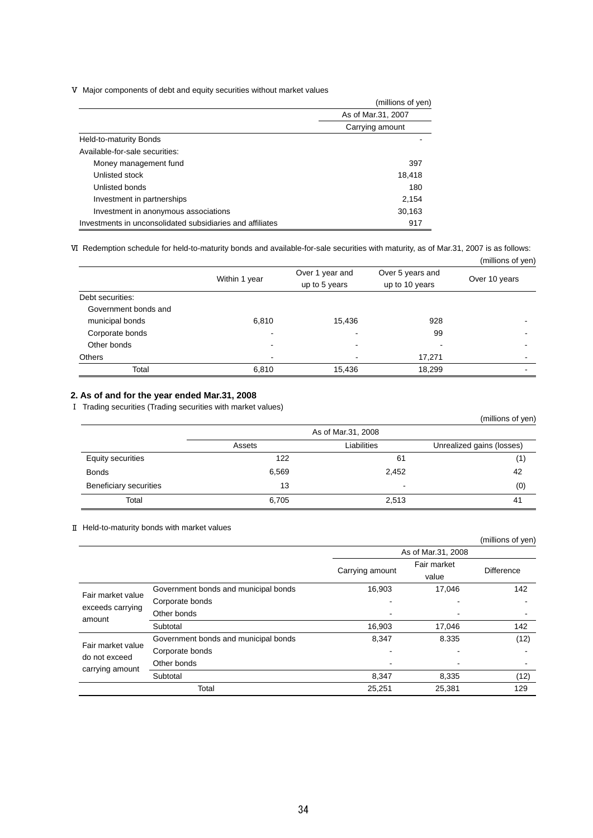Ⅴ Major components of debt and equity securities without market values

|                                                           | (millions of yen)  |  |
|-----------------------------------------------------------|--------------------|--|
|                                                           | As of Mar.31, 2007 |  |
|                                                           | Carrying amount    |  |
| Held-to-maturity Bonds                                    |                    |  |
| Available-for-sale securities:                            |                    |  |
| Money management fund                                     | 397                |  |
| Unlisted stock                                            | 18,418             |  |
| Unlisted bonds                                            | 180                |  |
| Investment in partnerships                                | 2.154              |  |
| Investment in anonymous associations                      | 30,163             |  |
| Investments in unconsolidated subsidiaries and affiliates | 917                |  |

Ⅵ Redemption schedule for held-to-maturity bonds and available-for-sale securities with maturity, as of Mar.31, 2007 is as follows: (millions of yen)

|                      |                          |                                  |                                    | $\mu$         |
|----------------------|--------------------------|----------------------------------|------------------------------------|---------------|
|                      | Within 1 year            | Over 1 year and<br>up to 5 years | Over 5 years and<br>up to 10 years | Over 10 years |
| Debt securities:     |                          |                                  |                                    |               |
| Government bonds and |                          |                                  |                                    |               |
| municipal bonds      | 6,810                    | 15,436                           | 928                                |               |
| Corporate bonds      | -                        |                                  | 99                                 |               |
| Other bonds          |                          | $\,$                             | -                                  |               |
| Others               | $\overline{\phantom{a}}$ | $\,$                             | 17,271                             | $\,$          |
| Total                | 6,810                    | 15,436                           | 18,299                             |               |

## **2. As of and for the year ended Mar.31, 2008**

Ⅰ Trading securities (Trading securities with market values)

|                          |        |                    | (millions of yen)         |
|--------------------------|--------|--------------------|---------------------------|
|                          |        | As of Mar.31, 2008 |                           |
|                          | Assets | Liabilities        | Unrealized gains (losses) |
| <b>Equity securities</b> | 122    | 61                 | (1)                       |
| <b>Bonds</b>             | 6,569  | 2,452              | 42                        |
| Beneficiary securities   | 13     | -                  | (0)                       |
| Total                    | 6,705  | 2,513              | 41                        |

### Ⅱ Held-to-maturity bonds with market values

|                                  |                                      |                 |                    | (millions of yen) |
|----------------------------------|--------------------------------------|-----------------|--------------------|-------------------|
|                                  |                                      |                 | As of Mar.31, 2008 |                   |
|                                  |                                      | Carrying amount | Fair market        | <b>Difference</b> |
|                                  |                                      |                 | value              |                   |
| Fair market value                | Government bonds and municipal bonds | 16,903          | 17,046             | 142               |
|                                  | Corporate bonds                      |                 |                    |                   |
| exceeds carrying<br>amount       | Other bonds                          |                 |                    |                   |
|                                  | Subtotal                             | 16,903          | 17,046             | 142               |
| Fair market value                | Government bonds and municipal bonds | 8,347           | 8.335              | (12)              |
| do not exceed<br>carrying amount | Corporate bonds                      |                 |                    |                   |
|                                  | Other bonds                          |                 |                    |                   |
|                                  | Subtotal                             | 8,347           | 8,335              | (12)              |
|                                  | Total                                | 25,251          | 25,381             | 129               |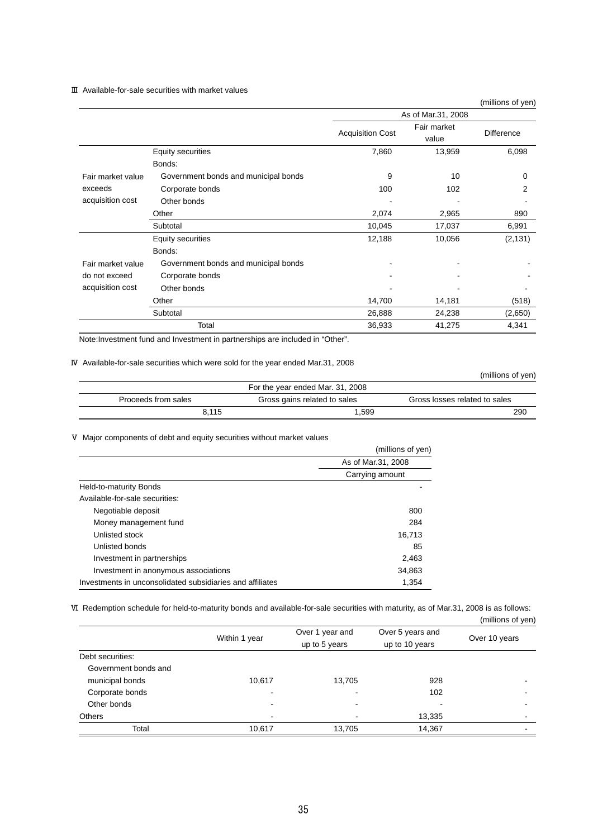### Ⅲ Available-for-sale securities with market values

| (millions of yen) |  |  |  |
|-------------------|--|--|--|
|-------------------|--|--|--|

|                   |                                      |                         | As of Mar.31, 2008   |                   |
|-------------------|--------------------------------------|-------------------------|----------------------|-------------------|
|                   |                                      | <b>Acquisition Cost</b> | Fair market<br>value | <b>Difference</b> |
|                   | Equity securities                    | 7,860                   | 13,959               | 6,098             |
|                   | Bonds:                               |                         |                      |                   |
| Fair market value | Government bonds and municipal bonds | 9                       | 10                   | 0                 |
| exceeds           | Corporate bonds                      | 100                     | 102                  | 2                 |
| acquisition cost  | Other bonds                          |                         |                      |                   |
|                   | Other                                | 2,074                   | 2,965                | 890               |
|                   | Subtotal                             | 10,045                  | 17,037               | 6,991             |
|                   | Equity securities                    | 12,188                  | 10,056               | (2, 131)          |
|                   | Bonds:                               |                         |                      |                   |
| Fair market value | Government bonds and municipal bonds |                         |                      |                   |
| do not exceed     | Corporate bonds                      |                         |                      |                   |
| acquisition cost  | Other bonds                          |                         |                      |                   |
|                   | Other                                | 14,700                  | 14,181               | (518)             |
|                   | Subtotal                             | 26,888                  | 24,238               | (2,650)           |
|                   | Total                                | 36,933                  | 41,275               | 4,341             |

Note:Investment fund and Investment in partnerships are included in "Other".

### Ⅳ Available-for-sale securities which were sold for the year ended Mar.31, 2008

(millions of yen)

| For the year ended Mar. 31, 2008 |                              |                               |  |
|----------------------------------|------------------------------|-------------------------------|--|
| Proceeds from sales              | Gross gains related to sales | Gross losses related to sales |  |
| 8.115                            | 1,599                        | 290                           |  |

### Ⅴ Major components of debt and equity securities without market values

|                                                           | (millions of yen)  |
|-----------------------------------------------------------|--------------------|
|                                                           | As of Mar.31, 2008 |
|                                                           | Carrying amount    |
| Held-to-maturity Bonds                                    |                    |
| Available-for-sale securities:                            |                    |
| Negotiable deposit                                        | 800                |
| Money management fund                                     | 284                |
| Unlisted stock                                            | 16,713             |
| Unlisted bonds                                            | 85                 |
| Investment in partnerships                                | 2,463              |
| Investment in anonymous associations                      | 34,863             |
| Investments in unconsolidated subsidiaries and affiliates | 1,354              |

Ⅵ Redemption schedule for held-to-maturity bonds and available-for-sale securities with maturity, as of Mar.31, 2008 is as follows:

|                      |               |                                  |                                    | (millions of yen) |
|----------------------|---------------|----------------------------------|------------------------------------|-------------------|
|                      | Within 1 year | Over 1 year and<br>up to 5 years | Over 5 years and<br>up to 10 years | Over 10 years     |
| Debt securities:     |               |                                  |                                    |                   |
| Government bonds and |               |                                  |                                    |                   |
| municipal bonds      | 10,617        | 13,705                           | 928                                |                   |
| Corporate bonds      | ۰             | -                                | 102                                |                   |
| Other bonds          | -             | $\,$                             | -                                  |                   |
| <b>Others</b>        |               |                                  | 13,335                             |                   |
| Total                | 10,617        | 13,705                           | 14,367                             |                   |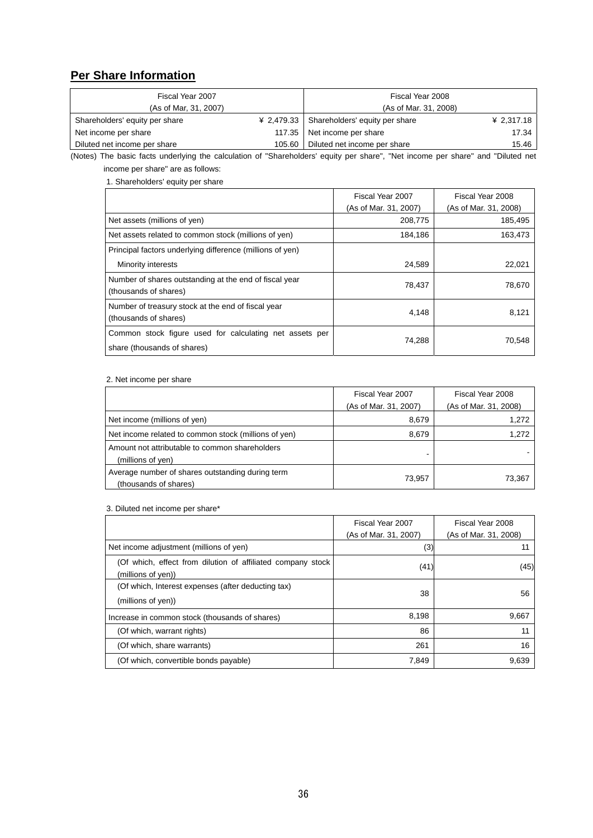## **Per Share Information**

| Fiscal Year 2007               |        | Fiscal Year 2008                          |            |
|--------------------------------|--------|-------------------------------------------|------------|
| (As of Mar, 31, 2007)          |        | (As of Mar. 31, 2008)                     |            |
| Shareholders' equity per share |        | ¥ 2,479.33 Shareholders' equity per share | ¥ 2,317.18 |
| Net income per share           |        | 117.35 Net income per share               | 17.34      |
| Diluted net income per share   | 105.60 | Diluted net income per share              | 15.46      |

(Notes) The basic facts underlying the calculation of "Shareholders' equity per share", "Net income per share" and "Diluted net income per share" are as follows:

1. Shareholders' equity per share

|                                                                                        | Fiscal Year 2007<br>(As of Mar. 31, 2007) | Fiscal Year 2008<br>(As of Mar. 31, 2008) |
|----------------------------------------------------------------------------------------|-------------------------------------------|-------------------------------------------|
| Net assets (millions of yen)                                                           | 208,775                                   | 185,495                                   |
| Net assets related to common stock (millions of yen)                                   | 184,186                                   | 163,473                                   |
| Principal factors underlying difference (millions of yen)                              |                                           |                                           |
| Minority interests                                                                     | 24,589                                    | 22,021                                    |
| Number of shares outstanding at the end of fiscal year<br>(thousands of shares)        | 78,437                                    | 78,670                                    |
| Number of treasury stock at the end of fiscal year<br>(thousands of shares)            | 4,148                                     | 8,121                                     |
| Common stock figure used for calculating net assets per<br>share (thousands of shares) | 74,288                                    | 70.548                                    |

### 2. Net income per share

|                                                                           | Fiscal Year 2007      | Fiscal Year 2008      |
|---------------------------------------------------------------------------|-----------------------|-----------------------|
|                                                                           | (As of Mar. 31, 2007) | (As of Mar. 31, 2008) |
| Net income (millions of yen)                                              | 8,679                 | 1,272                 |
| Net income related to common stock (millions of yen)                      | 8,679                 | 1,272                 |
| Amount not attributable to common shareholders<br>(millions of yen)       |                       |                       |
| Average number of shares outstanding during term<br>(thousands of shares) | 73,957                | 73,367                |

### 3. Diluted net income per share\*

|                                                                                   | Fiscal Year 2007      | Fiscal Year 2008      |
|-----------------------------------------------------------------------------------|-----------------------|-----------------------|
|                                                                                   | (As of Mar. 31, 2007) | (As of Mar. 31, 2008) |
| Net income adjustment (millions of yen)                                           | (3)                   |                       |
| (Of which, effect from dilution of affiliated company stock<br>(millions of yen)) | (41)                  | (45)                  |
| (Of which, Interest expenses (after deducting tax)<br>(millions of yen))          | 38                    | 56                    |
| Increase in common stock (thousands of shares)                                    | 8,198                 | 9,667                 |
| (Of which, warrant rights)                                                        | 86                    | 11                    |
| (Of which, share warrants)                                                        | 261                   | 16                    |
| (Of which, convertible bonds payable)                                             | 7,849                 | 9,639                 |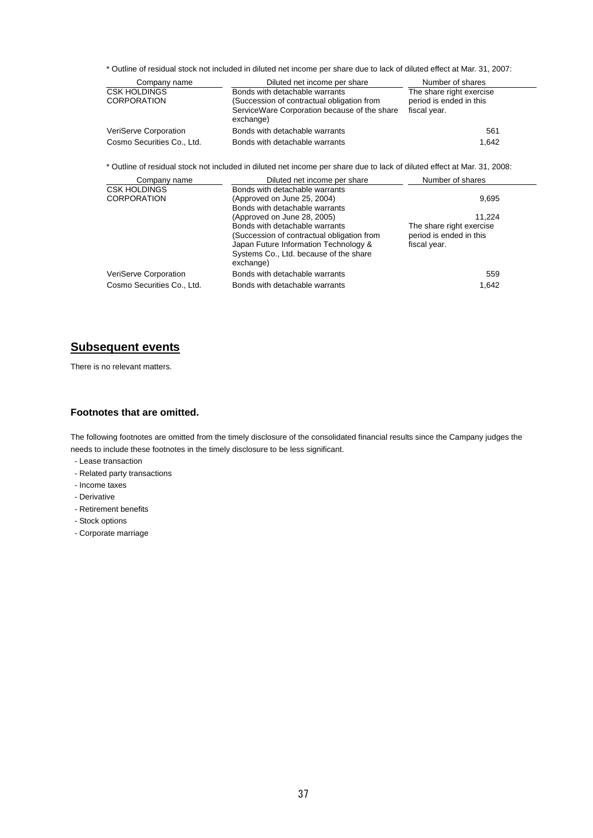\* Outline of residual stock not included in diluted net income per share due to lack of diluted effect at Mar. 31, 2007:

| Company name                              | Diluted net income per share                                                                                                              | Number of shares                                                    |
|-------------------------------------------|-------------------------------------------------------------------------------------------------------------------------------------------|---------------------------------------------------------------------|
| <b>CSK HOLDINGS</b><br><b>CORPORATION</b> | Bonds with detachable warrants<br>(Succession of contractual obligation from<br>ServiceWare Corporation because of the share<br>exchange) | The share right exercise<br>period is ended in this<br>fiscal year. |
| VeriServe Corporation                     | Bonds with detachable warrants                                                                                                            | 561                                                                 |
| Cosmo Securities Co., Ltd.                | Bonds with detachable warrants                                                                                                            | 1.642                                                               |

\* Outline of residual stock not included in diluted net income per share due to lack of diluted effect at Mar. 31, 2008:

| Company name                              | Diluted net income per share                                                                                                                                                                                | Number of shares                                                              |
|-------------------------------------------|-------------------------------------------------------------------------------------------------------------------------------------------------------------------------------------------------------------|-------------------------------------------------------------------------------|
| <b>CSK HOLDINGS</b><br><b>CORPORATION</b> | Bonds with detachable warrants<br>(Approved on June 25, 2004)<br>Bonds with detachable warrants                                                                                                             | 9,695                                                                         |
|                                           | (Approved on June 28, 2005)<br>Bonds with detachable warrants<br>(Succession of contractual obligation from<br>Japan Future Information Technology &<br>Systems Co., Ltd. because of the share<br>exchange) | 11.224<br>The share right exercise<br>period is ended in this<br>fiscal year. |
| VeriServe Corporation                     | Bonds with detachable warrants                                                                                                                                                                              | 559                                                                           |
| Cosmo Securities Co., Ltd.                | Bonds with detachable warrants                                                                                                                                                                              | 1.642                                                                         |

## **Subsequent events**

There is no relevant matters.

## **Footnotes that are omitted.**

The following footnotes are omitted from the timely disclosure of the consolidated financial results since the Campany judges the needs to include these footnotes in the timely disclosure to be less significant.

- Lease transaction
- Related party transactions
- Income taxes
- Derivative
- Retirement benefits
- Stock options
- Corporate marriage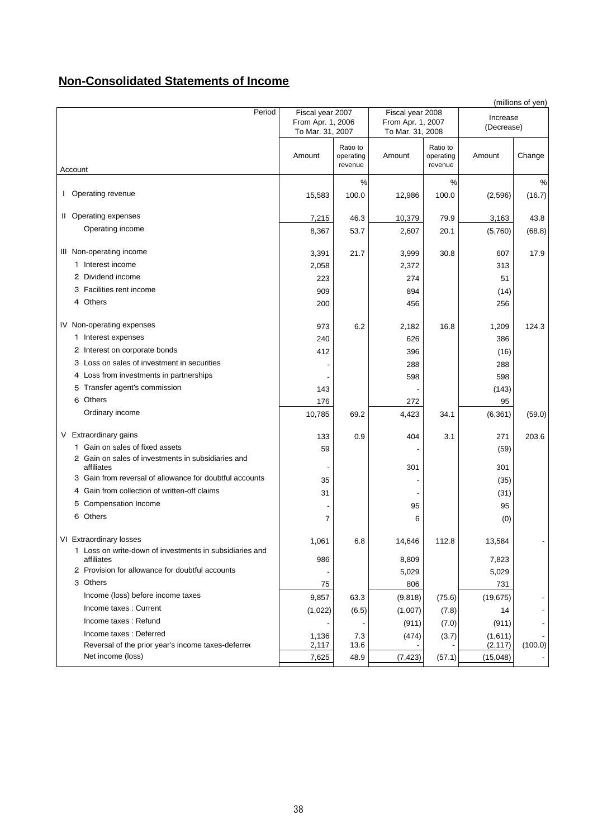## **Non-Consolidated Statements of Income**

|                                                                       |                                                           |                                  |                                                           |                                  |                        | (millions of yen) |
|-----------------------------------------------------------------------|-----------------------------------------------------------|----------------------------------|-----------------------------------------------------------|----------------------------------|------------------------|-------------------|
| Period                                                                | Fiscal year 2007<br>From Apr. 1, 2006<br>To Mar. 31, 2007 |                                  | Fiscal year 2008<br>From Apr. 1, 2007<br>To Mar. 31, 2008 |                                  | Increase<br>(Decrease) |                   |
| Account                                                               | Amount                                                    | Ratio to<br>operating<br>revenue | Amount                                                    | Ratio to<br>operating<br>revenue | Amount                 | Change            |
|                                                                       |                                                           | $\%$                             |                                                           | $\frac{0}{0}$                    |                        | %                 |
| I Operating revenue                                                   | 15,583                                                    | 100.0                            | 12,986                                                    | 100.0                            | (2,596)                | (16.7)            |
| II Operating expenses                                                 | 7,215                                                     | 46.3                             | 10,379                                                    | 79.9                             | 3,163                  | 43.8              |
| Operating income                                                      | 8,367                                                     | 53.7                             | 2,607                                                     | 20.1                             | (5,760)                | (68.8)            |
| III Non-operating income                                              | 3,391                                                     | 21.7                             | 3,999                                                     | 30.8                             | 607                    | 17.9              |
| 1 Interest income                                                     | 2,058                                                     |                                  | 2,372                                                     |                                  | 313                    |                   |
| 2 Dividend income                                                     | 223                                                       |                                  | 274                                                       |                                  | 51                     |                   |
| 3 Facilities rent income                                              | 909                                                       |                                  | 894                                                       |                                  | (14)                   |                   |
| 4 Others                                                              | 200                                                       |                                  | 456                                                       |                                  | 256                    |                   |
| IV Non-operating expenses                                             | 973                                                       | 6.2                              | 2,182                                                     | 16.8                             | 1,209                  | 124.3             |
| 1 Interest expenses                                                   | 240                                                       |                                  | 626                                                       |                                  | 386                    |                   |
| 2 Interest on corporate bonds                                         | 412                                                       |                                  | 396                                                       |                                  | (16)                   |                   |
| 3 Loss on sales of investment in securities                           |                                                           |                                  | 288                                                       |                                  | 288                    |                   |
| 4 Loss from investments in partnerships                               |                                                           |                                  | 598                                                       |                                  | 598                    |                   |
| 5 Transfer agent's commission                                         | 143                                                       |                                  |                                                           |                                  | (143)                  |                   |
| 6 Others                                                              | 176                                                       |                                  | 272                                                       |                                  | 95                     |                   |
| Ordinary income                                                       | 10,785                                                    | 69.2                             | 4,423                                                     | 34.1                             | (6, 361)               | (59.0)            |
| V Extraordinary gains                                                 | 133                                                       | 0.9                              | 404                                                       | 3.1                              | 271                    | 203.6             |
| 1 Gain on sales of fixed assets                                       | 59                                                        |                                  |                                                           |                                  | (59)                   |                   |
| 2 Gain on sales of investments in subsidiaries and<br>affiliates      |                                                           |                                  | 301                                                       |                                  | 301                    |                   |
| 3 Gain from reversal of allowance for doubtful accounts               | 35                                                        |                                  |                                                           |                                  | (35)                   |                   |
| 4 Gain from collection of written-off claims                          | 31                                                        |                                  |                                                           |                                  | (31)                   |                   |
| 5 Compensation Income                                                 |                                                           |                                  | 95                                                        |                                  | 95                     |                   |
| 6 Others                                                              | 7                                                         |                                  | 6                                                         |                                  | (0)                    |                   |
| VI Extraordinary losses                                               | 1,061                                                     | 6.8                              | 14,646                                                    | 112.8                            | 13,584                 |                   |
| 1 Loss on write-down of investments in subsidiaries and<br>affiliates | 986                                                       |                                  | 8,809                                                     |                                  | 7,823                  |                   |
| 2 Provision for allowance for doubtful accounts                       |                                                           |                                  | 5,029                                                     |                                  | 5,029                  |                   |
| 3 Others                                                              | 75                                                        |                                  | 806                                                       |                                  | 731                    |                   |
| Income (loss) before income taxes                                     | 9,857                                                     | 63.3                             | (9,818)                                                   | (75.6)                           | (19, 675)              |                   |
| Income taxes: Current                                                 | (1,022)                                                   | (6.5)                            | (1,007)                                                   | (7.8)                            | 14                     |                   |
| Income taxes: Refund                                                  |                                                           |                                  | (911)                                                     | (7.0)                            | (911)                  |                   |
| Income taxes: Deferred                                                | 1,136                                                     | 7.3                              | (474)                                                     | (3.7)                            | (1,611)                |                   |
| Reversal of the prior year's income taxes-deferred                    | 2,117                                                     | 13.6                             |                                                           |                                  | (2, 117)               | (100.0)           |
| Net income (loss)                                                     | 7,625                                                     | 48.9                             | (7, 423)                                                  | (57.1)                           | (15,048)               |                   |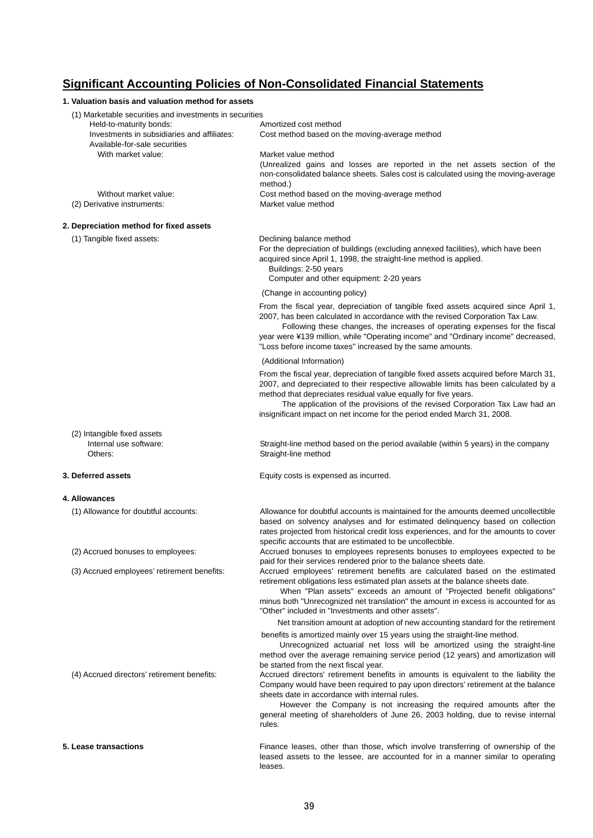## **Significant Accounting Policies of Non-Consolidated Financial Statements**

| 1. Valuation basis and valuation method for assets                           |                                                                                                                                                                                                                                                                                                                                                                                                       |
|------------------------------------------------------------------------------|-------------------------------------------------------------------------------------------------------------------------------------------------------------------------------------------------------------------------------------------------------------------------------------------------------------------------------------------------------------------------------------------------------|
| (1) Marketable securities and investments in securities                      |                                                                                                                                                                                                                                                                                                                                                                                                       |
| Held-to-maturity bonds:                                                      | Amortized cost method                                                                                                                                                                                                                                                                                                                                                                                 |
| Investments in subsidiaries and affiliates:<br>Available-for-sale securities | Cost method based on the moving-average method                                                                                                                                                                                                                                                                                                                                                        |
| With market value:                                                           | Market value method                                                                                                                                                                                                                                                                                                                                                                                   |
|                                                                              | (Unrealized gains and losses are reported in the net assets section of the                                                                                                                                                                                                                                                                                                                            |
|                                                                              | non-consolidated balance sheets. Sales cost is calculated using the moving-average<br>method.)                                                                                                                                                                                                                                                                                                        |
| Without market value:                                                        | Cost method based on the moving-average method                                                                                                                                                                                                                                                                                                                                                        |
| (2) Derivative instruments:                                                  | Market value method                                                                                                                                                                                                                                                                                                                                                                                   |
| 2. Depreciation method for fixed assets                                      |                                                                                                                                                                                                                                                                                                                                                                                                       |
| (1) Tangible fixed assets:                                                   | Declining balance method                                                                                                                                                                                                                                                                                                                                                                              |
|                                                                              | For the depreciation of buildings (excluding annexed facilities), which have been<br>acquired since April 1, 1998, the straight-line method is applied.<br>Buildings: 2-50 years<br>Computer and other equipment: 2-20 years                                                                                                                                                                          |
|                                                                              |                                                                                                                                                                                                                                                                                                                                                                                                       |
|                                                                              | (Change in accounting policy)                                                                                                                                                                                                                                                                                                                                                                         |
|                                                                              | From the fiscal year, depreciation of tangible fixed assets acquired since April 1,<br>2007, has been calculated in accordance with the revised Corporation Tax Law.<br>Following these changes, the increases of operating expenses for the fiscal<br>year were ¥139 million, while "Operating income" and "Ordinary income" decreased,<br>"Loss before income taxes" increased by the same amounts. |
|                                                                              | (Additional Information)                                                                                                                                                                                                                                                                                                                                                                              |
|                                                                              | From the fiscal year, depreciation of tangible fixed assets acquired before March 31,<br>2007, and depreciated to their respective allowable limits has been calculated by a<br>method that depreciates residual value equally for five years.                                                                                                                                                        |
|                                                                              | The application of the provisions of the revised Corporation Tax Law had an<br>insignificant impact on net income for the period ended March 31, 2008.                                                                                                                                                                                                                                                |
| (2) Intangible fixed assets                                                  |                                                                                                                                                                                                                                                                                                                                                                                                       |
| Internal use software:<br>Others:                                            | Straight-line method based on the period available (within 5 years) in the company<br>Straight-line method                                                                                                                                                                                                                                                                                            |
| 3. Deferred assets                                                           | Equity costs is expensed as incurred.                                                                                                                                                                                                                                                                                                                                                                 |
| 4. Allowances                                                                |                                                                                                                                                                                                                                                                                                                                                                                                       |
| (1) Allowance for doubtful accounts:                                         | Allowance for doubtful accounts is maintained for the amounts deemed uncollectible<br>based on solvency analyses and for estimated delinguency based on collection<br>rates projected from historical credit loss experiences, and for the amounts to cover<br>specific accounts that are estimated to be uncollectible.                                                                              |
| (2) Accrued bonuses to employees:                                            | Accrued bonuses to employees represents bonuses to employees expected to be<br>paid for their services rendered prior to the balance sheets date.                                                                                                                                                                                                                                                     |
| (3) Accrued employees' retirement benefits:                                  | Accrued employees' retirement benefits are calculated based on the estimated<br>retirement obligations less estimated plan assets at the balance sheets date.<br>When "Plan assets" exceeds an amount of "Projected benefit obligations"                                                                                                                                                              |
|                                                                              | minus both "Unrecognized net translation" the amount in excess is accounted for as<br>"Other" included in "Investments and other assets".                                                                                                                                                                                                                                                             |
|                                                                              | Net transition amount at adoption of new accounting standard for the retirement                                                                                                                                                                                                                                                                                                                       |
|                                                                              | benefits is amortized mainly over 15 years using the straight-line method.<br>Unrecognized actuarial net loss will be amortized using the straight-line                                                                                                                                                                                                                                               |
|                                                                              | method over the average remaining service period (12 years) and amortization will<br>be started from the next fiscal year.                                                                                                                                                                                                                                                                            |
| (4) Accrued directors' retirement benefits:                                  | Accrued directors' retirement benefits in amounts is equivalent to the liability the<br>Company would have been required to pay upon directors' retirement at the balance<br>sheets date in accordance with internal rules.                                                                                                                                                                           |
|                                                                              | However the Company is not increasing the required amounts after the<br>general meeting of shareholders of June 26, 2003 holding, due to revise internal<br>rules.                                                                                                                                                                                                                                    |
| 5. Lease transactions                                                        | Finance leases, other than those, which involve transferring of ownership of the<br>leased assets to the lessee, are accounted for in a manner similar to operating                                                                                                                                                                                                                                   |

leases.